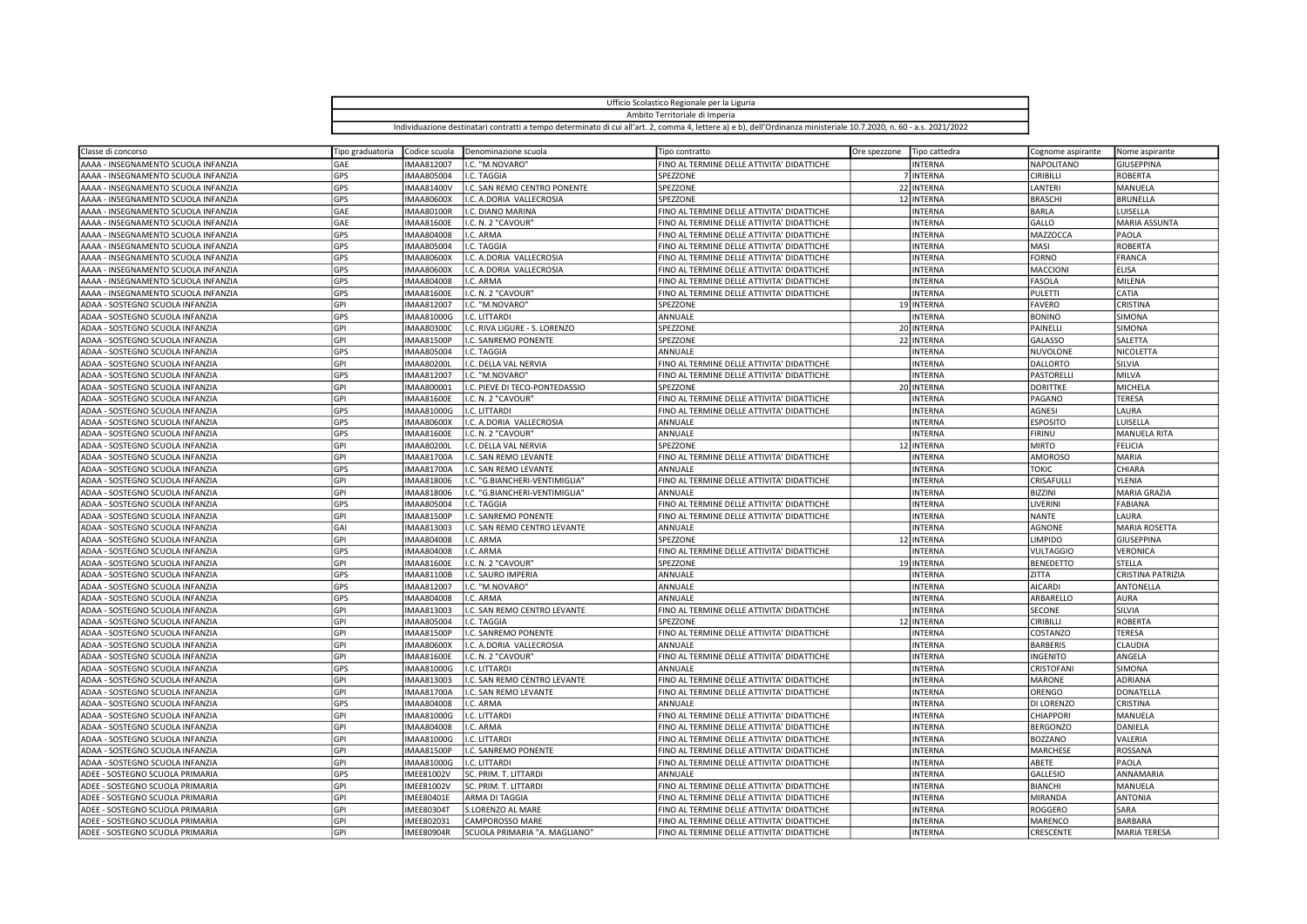| Ufficio Scolastico Regionale per la Liguria                                                                                                                         |  |
|---------------------------------------------------------------------------------------------------------------------------------------------------------------------|--|
| Ambito Territoriale di Imperia                                                                                                                                      |  |
| Individuazione destinatari contratti a tempo determinato di cui all'art. 2, comma 4, lettere a) e b), dell'Ordinanza ministeriale 10.7.2020, n. 60 - a.s. 2021/2022 |  |

| Classe di concorso                  | Tipo graduatoria | Codice scuola     | Denominazione scuola                  | Tipo contratto                             | Ore spezzone | Tipo cattedra  | Cognome aspirante | Nome aspirante           |
|-------------------------------------|------------------|-------------------|---------------------------------------|--------------------------------------------|--------------|----------------|-------------------|--------------------------|
| AAAA - INSEGNAMENTO SCUOLA INFANZIA | GAE              | IMAA812007        | I.C. "M.NOVARO"                       | FINO AL TERMINE DELLE ATTIVITA' DIDATTICHE |              | <b>INTERNA</b> | NAPOLITANO        | GIUSEPPINA               |
| AAAA - INSEGNAMENTO SCUOLA INFANZIA | GPS              | IMAA805004        | I.C. TAGGIA                           | SPEZZONE                                   |              | 7 INTERNA      | <b>CIRIBILLI</b>  | <b>ROBERTA</b>           |
| AAAA - INSEGNAMENTO SCUOLA INFANZIA | GPS              | <b>IMAA81400V</b> | I.C. SAN REMO CENTRO PONENTE          | SPEZZONE                                   |              | 22 INTERNA     | LANTERI           | MANUELA                  |
| AAAA - INSEGNAMENTO SCUOLA INFANZIA | GPS              | <b>IMAA80600X</b> | I.C. A.DORIA VALLECROSIA              | SPEZZONE                                   |              | 12 INTERNA     | <b>BRASCHI</b>    | <b>BRUNELLA</b>          |
| AAAA - INSEGNAMENTO SCUOLA INFANZIA | GAE              | <b>IMAA80100R</b> | I.C. DIANO MARINA                     | FINO AL TERMINE DELLE ATTIVITA' DIDATTICHE |              | <b>INTERNA</b> | <b>BARLA</b>      | LUISELLA                 |
| AAAA - INSEGNAMENTO SCUOLA INFANZIA | GAE              | <b>IMAA81600E</b> | I.C. N. 2 "CAVOUR"                    | FINO AL TERMINE DELLE ATTIVITA' DIDATTICHE |              | <b>INTERNA</b> | GALLO             | <b>MARIA ASSUNTA</b>     |
| AAAA - INSEGNAMENTO SCUOLA INFANZIA | GPS              | IMAA804008        | I.C. ARMA                             | FINO AL TERMINE DELLE ATTIVITA' DIDATTICHE |              | <b>INTERNA</b> | MAZZOCCA          | PAOLA                    |
| AAAA - INSEGNAMENTO SCUOLA INFANZIA | GPS              | IMAA805004        | I.C. TAGGIA                           | FINO AL TERMINE DELLE ATTIVITA' DIDATTICHE |              | <b>INTERNA</b> | MASI              | <b>ROBERTA</b>           |
| AAAA - INSEGNAMENTO SCUOLA INFANZIA | GPS              | <b>IMAA80600X</b> | I.C. A.DORIA VALLECROSIA              | FINO AL TERMINE DELLE ATTIVITA' DIDATTICHE |              | <b>INTERNA</b> | <b>FORNO</b>      | FRANCA                   |
| AAAA - INSEGNAMENTO SCUOLA INFANZIA | GPS              | <b>IMAA80600X</b> | I.C. A.DORIA VALLECROSIA              | FINO AL TERMINE DELLE ATTIVITA' DIDATTICHE |              | <b>INTERNA</b> | MACCIONI          | <b>ELISA</b>             |
| AAAA - INSEGNAMENTO SCUOLA INFANZIA | GPS              | <b>IMAA804008</b> | I.C. ARMA                             | FINO AL TERMINE DELLE ATTIVITA' DIDATTICHE |              | <b>INTERNA</b> | FASOLA            | MILENA                   |
| AAAA - INSEGNAMENTO SCUOLA INFANZIA | GPS              | <b>IMAA81600E</b> | I.C. N. 2 "CAVOUR"                    | FINO AL TERMINE DELLE ATTIVITA' DIDATTICHE |              | <b>INTERNA</b> | <b>PULETTI</b>    | CATIA                    |
| ADAA - SOSTEGNO SCUOLA INFANZIA     | GPI              | IMAA812007        | I.C. "M.NOVARO"                       | SPEZZONE                                   |              | 19 INTERNA     | <b>FAVERO</b>     | CRISTINA                 |
| ADAA - SOSTEGNO SCUOLA INFANZIA     | GPS              | IMAA81000G        | I.C. LITTARDI                         | ANNUALE                                    |              | <b>INTERNA</b> | <b>BONINO</b>     | <b>SIMONA</b>            |
| ADAA - SOSTEGNO SCUOLA INFANZIA     | GPI              | <b>IMAA803000</b> | I.C. RIVA LIGURE - S. LORENZO         | SPEZZONE                                   |              | 20 INTERNA     | PAINELLI          | SIMONA                   |
| ADAA - SOSTEGNO SCUOLA INFANZIA     | GPI              | <b>IMAA81500P</b> | I.C. SANREMO PONENTE                  | SPEZZONE                                   |              | 22 INTERNA     | GALASSO           | SALETTA                  |
| ADAA - SOSTEGNO SCUOLA INFANZIA     | GPS              | IMAA805004        | I.C. TAGGIA                           | ANNUALE                                    |              | <b>INTERNA</b> | NUVOLONE          | NICOLETTA                |
| ADAA - SOSTEGNO SCUOLA INFANZIA     | GPI              | <b>IMAA80200L</b> | I.C. DELLA VAL NERVIA                 | FINO AL TERMINE DELLE ATTIVITA' DIDATTICHE |              | <b>INTERNA</b> | <b>DALLORTO</b>   | SILVIA                   |
| ADAA - SOSTEGNO SCUOLA INFANZIA     | GPS              | IMAA812007        | I.C. "M.NOVARO"                       | FINO AL TERMINE DELLE ATTIVITA' DIDATTICHE |              | <b>INTERNA</b> | PASTORELLI        | MILVA                    |
| ADAA - SOSTEGNO SCUOLA INFANZIA     | GPI              | IMAA800001        | I.C. PIEVE DI TECO-PONTEDASSIO        | SPEZZONE                                   |              | 20 INTERNA     | <b>DORITTKE</b>   | MICHELA                  |
| ADAA - SOSTEGNO SCUOLA INFANZIA     | GPI              | <b>IMAA81600E</b> | I.C. N. 2 "CAVOUR"                    | FINO AL TERMINE DELLE ATTIVITA' DIDATTICHE |              | <b>INTERNA</b> | PAGANO            | <b>TERESA</b>            |
| ADAA - SOSTEGNO SCUOLA INFANZIA     | GPS              | IMAA81000G        | I.C. LITTARDI                         | FINO AL TERMINE DELLE ATTIVITA' DIDATTICHE |              | <b>INTERNA</b> | AGNESI            | LAURA                    |
| ADAA - SOSTEGNO SCUOLA INFANZIA     | GPS              | <b>IMAA80600X</b> | I.C. A.DORIA VALLECROSIA              | ANNUALE                                    |              | <b>INTERNA</b> | <b>ESPOSITO</b>   | LUISELLA                 |
| ADAA - SOSTEGNO SCUOLA INFANZIA     | GPS              | <b>IMAA81600E</b> | I.C. N. 2 "CAVOUR"                    | lannuale                                   |              | <b>INTERNA</b> | <b>FIRINU</b>     | <b>MANUELA RITA</b>      |
| ADAA - SOSTEGNO SCUOLA INFANZIA     | GPI              | <b>IMAA80200L</b> | I.C. DELLA VAL NERVIA                 | <b>SPEZZONE</b>                            |              | 12 INTERNA     | <b>MIRTO</b>      | <b>FELICIA</b>           |
| ADAA - SOSTEGNO SCUOLA INFANZIA     | GPI              | <b>IMAA81700A</b> | I.C. SAN REMO LEVANTE                 | FINO AL TERMINE DELLE ATTIVITA' DIDATTICHE |              | <b>INTERNA</b> | <b>AMOROSO</b>    | <b>MARIA</b>             |
| ADAA - SOSTEGNO SCUOLA INFANZIA     | GPS              | <b>IMAA81700A</b> | I.C. SAN REMO LEVANTE                 | ANNUALE                                    |              | <b>INTERNA</b> | <b>TOKIC</b>      | CHIARA                   |
| ADAA - SOSTEGNO SCUOLA INFANZIA     | GPI              | IMAA818006        | I.C. "G.BIANCHERI-VENTIMIGLIA"        | FINO AL TERMINE DELLE ATTIVITA' DIDATTICHE |              | <b>INTERNA</b> | CRISAFULLI        | YLENIA                   |
| ADAA - SOSTEGNO SCUOLA INFANZIA     | GPI              | IMAA818006        | I.C. "G.BIANCHERI-VENTIMIGLIA"        | ANNUALE                                    |              | <b>INTERNA</b> | <b>BIZZINI</b>    | MARIA GRAZIA             |
| ADAA - SOSTEGNO SCUOLA INFANZIA     | GPS              | IMAA805004        | I.C. TAGGIA                           | FINO AL TERMINE DELLE ATTIVITA' DIDATTICHE |              | <b>INTERNA</b> | LIVERINI          | FABIANA                  |
| ADAA - SOSTEGNO SCUOLA INFANZIA     | GPI              | <b>IMAA81500P</b> | I.C. SANREMO PONENTE                  | FINO AL TERMINE DELLE ATTIVITA' DIDATTICHE |              | <b>INTERNA</b> | <b>NANTE</b>      | LAURA                    |
| ADAA - SOSTEGNO SCUOLA INFANZIA     | GAI              | IMAA813003        | I.C. SAN REMO CENTRO LEVANTE          | ANNUALE                                    |              | <b>INTERNA</b> | <b>AGNONE</b>     | <b>MARIA ROSETTA</b>     |
| ADAA - SOSTEGNO SCUOLA INFANZIA     | GPI              | IMAA804008        | I.C. ARMA                             | SPEZZONE                                   |              | 12 INTERNA     | <b>LIMPIDO</b>    | GIUSEPPINA               |
| ADAA - SOSTEGNO SCUOLA INFANZIA     | GPS              | IMAA804008        | I.C. ARMA                             | FINO AL TERMINE DELLE ATTIVITA' DIDATTICHE |              | <b>INTERNA</b> | <b>VULTAGGIO</b>  | VERONICA                 |
| ADAA - SOSTEGNO SCUOLA INFANZIA     | GPI              | <b>IMAA81600E</b> | I.C. N. 2 "CAVOUR"                    | SPEZZONE                                   |              | 19 INTERNA     | <b>BENEDETTO</b>  | STELLA                   |
| ADAA - SOSTEGNO SCUOLA INFANZIA     | GPS              | <b>IMAA81100B</b> | I.C. SAURO IMPERIA                    | ANNUALE                                    |              | <b>INTERNA</b> | ZITTA             | <b>CRISTINA PATRIZIA</b> |
| ADAA - SOSTEGNO SCUOLA INFANZIA     | GPS              | IMAA812007        | I.C. "M.NOVARO"                       | ANNUALE                                    |              | <b>INTERNA</b> | <b>AICARDI</b>    | ANTONELLA                |
| ADAA - SOSTEGNO SCUOLA INFANZIA     | GPS              | IMAA804008        | I.C. ARMA                             | ANNUALE                                    |              | <b>INTERNA</b> | ARBARELLO         | <b>AURA</b>              |
| ADAA - SOSTEGNO SCUOLA INFANZIA     | GPI              | IMAA813003        | I.C. SAN REMO CENTRO LEVANTE          | FINO AL TERMINE DELLE ATTIVITA' DIDATTICHE |              | <b>INTERNA</b> | SECONE            | SILVIA                   |
| ADAA - SOSTEGNO SCUOLA INFANZIA     | GPI              | IMAA805004        | I.C. TAGGIA                           | SPEZZONE                                   |              | 12 INTERNA     | <b>CIRIBILLI</b>  | ROBERTA                  |
| ADAA - SOSTEGNO SCUOLA INFANZIA     | GPI              | <b>IMAA81500P</b> | I.C. SANREMO PONENTE                  | FINO AL TERMINE DELLE ATTIVITA' DIDATTICHE |              | <b>INTERNA</b> | COSTANZO          | <b>TERESA</b>            |
| ADAA - SOSTEGNO SCUOLA INFANZIA     | GPI              | <b>IMAA80600X</b> | I.C. A.DORIA VALLECROSIA              | ANNUALE                                    |              | <b>INTERNA</b> | <b>BARBERIS</b>   | CLAUDIA                  |
| ADAA - SOSTEGNO SCUOLA INFANZIA     | GPI              | <b>IMAA81600E</b> | I.C. N. 2 "CAVOUR"                    | FINO AL TERMINE DELLE ATTIVITA' DIDATTICHE |              | <b>INTERNA</b> | <b>INGENITO</b>   | ANGELA                   |
| ADAA - SOSTEGNO SCUOLA INFANZIA     | GPS              | IMAA81000G        | I.C. LITTARDI                         | ANNUALE                                    |              | <b>INTERNA</b> | CRISTOFANI        | <b>SIMONA</b>            |
| ADAA - SOSTEGNO SCUOLA INFANZIA     | GPI              | IMAA813003        | I.C. SAN REMO CENTRO LEVANTE          | FINO AL TERMINE DELLE ATTIVITA' DIDATTICHE |              | <b>INTERNA</b> | <b>MARONE</b>     | <b>ADRIANA</b>           |
| ADAA - SOSTEGNO SCUOLA INFANZIA     | GPI              | <b>IMAA81700A</b> | I.C. SAN REMO LEVANTE                 | FINO AL TERMINE DELLE ATTIVITA' DIDATTICHE |              | <b>INTERNA</b> | ORENGO            | DONATELLA                |
| ADAA - SOSTEGNO SCUOLA INFANZIA     | GPS              | IMAA804008        | I.C. ARMA                             | <b>ANNUALE</b>                             |              | <b>INTERNA</b> | DI LORENZO        | CRISTINA                 |
| ADAA - SOSTEGNO SCUOLA INFANZIA     | GPI              | IMAA81000G        | I.C. LITTARDI                         | FINO AL TERMINE DELLE ATTIVITA' DIDATTICHE |              | <b>INTERNA</b> | CHIAPPORI         | MANUELA                  |
| ADAA - SOSTEGNO SCUOLA INFANZIA     | GPI              | IMAA804008        | I.C. ARMA                             | FINO AL TERMINE DELLE ATTIVITA' DIDATTICHE |              | <b>INTERNA</b> | <b>BERGONZO</b>   | DANIELA                  |
|                                     | GPI              |                   |                                       |                                            |              |                |                   | VALERIA                  |
| ADAA - SOSTEGNO SCUOLA INFANZIA     | GPI              | <b>IMAA81000G</b> | I.C. LITTARDI<br>I.C. SANREMO PONENTE | FINO AL TERMINE DELLE ATTIVITA' DIDATTICHE |              | <b>INTERNA</b> | <b>BOZZANO</b>    | ROSSANA                  |
| ADAA - SOSTEGNO SCUOLA INFANZIA     |                  | <b>IMAA81500P</b> |                                       | FINO AL TERMINE DELLE ATTIVITA' DIDATTICHE |              | <b>INTERNA</b> | MARCHESE          |                          |
| ADAA - SOSTEGNO SCUOLA INFANZIA     | GPI              | <b>IMAA81000G</b> | I.C. LITTARDI                         | FINO AL TERMINE DELLE ATTIVITA' DIDATTICHE |              | <b>INTERNA</b> | ABETE             | PAOLA                    |
| ADEE - SOSTEGNO SCUOLA PRIMARIA     | GPS              | <b>IMEE81002V</b> | SC. PRIM. T. LITTARDI                 | ANNUALE                                    |              | <b>INTERNA</b> | <b>GALLESIO</b>   | ANNAMARIA                |
| ADEE - SOSTEGNO SCUOLA PRIMARIA     | GPI              | <b>IMEE81002V</b> | SC. PRIM. T. LITTARDI                 | FINO AL TERMINE DELLE ATTIVITA' DIDATTICHE |              | <b>INTERNA</b> | <b>BIANCHI</b>    | MANUELA                  |
| ADEE - SOSTEGNO SCUOLA PRIMARIA     | GPI              | <b>IMEE80401E</b> | ARMA DI TAGGIA                        | FINO AL TERMINE DELLE ATTIVITA' DIDATTICHE |              | <b>INTERNA</b> | MIRANDA           | <b>ANTONIA</b>           |
| ADEE - SOSTEGNO SCUOLA PRIMARIA     | GPI              | <b>IMEE80304T</b> | S.LORENZO AL MARE                     | FINO AL TERMINE DELLE ATTIVITA' DIDATTICHE |              | <b>INTERNA</b> | <b>ROGGERO</b>    | SARA                     |
| ADEE - SOSTEGNO SCUOLA PRIMARIA     | GPI              | IMEE802031        | CAMPOROSSO MARE                       | FINO AL TERMINE DELLE ATTIVITA' DIDATTICHE |              | <b>INTERNA</b> | MARENCO           | <b>BARBARA</b>           |
| ADEE - SOSTEGNO SCUOLA PRIMARIA     | GPI              | <b>IMEE80904R</b> | SCUOLA PRIMARIA "A. MAGLIANO"         | FINO AL TERMINE DELLE ATTIVITA' DIDATTICHE |              | <b>INTERNA</b> | CRESCENTE         | <b>MARIA TERESA</b>      |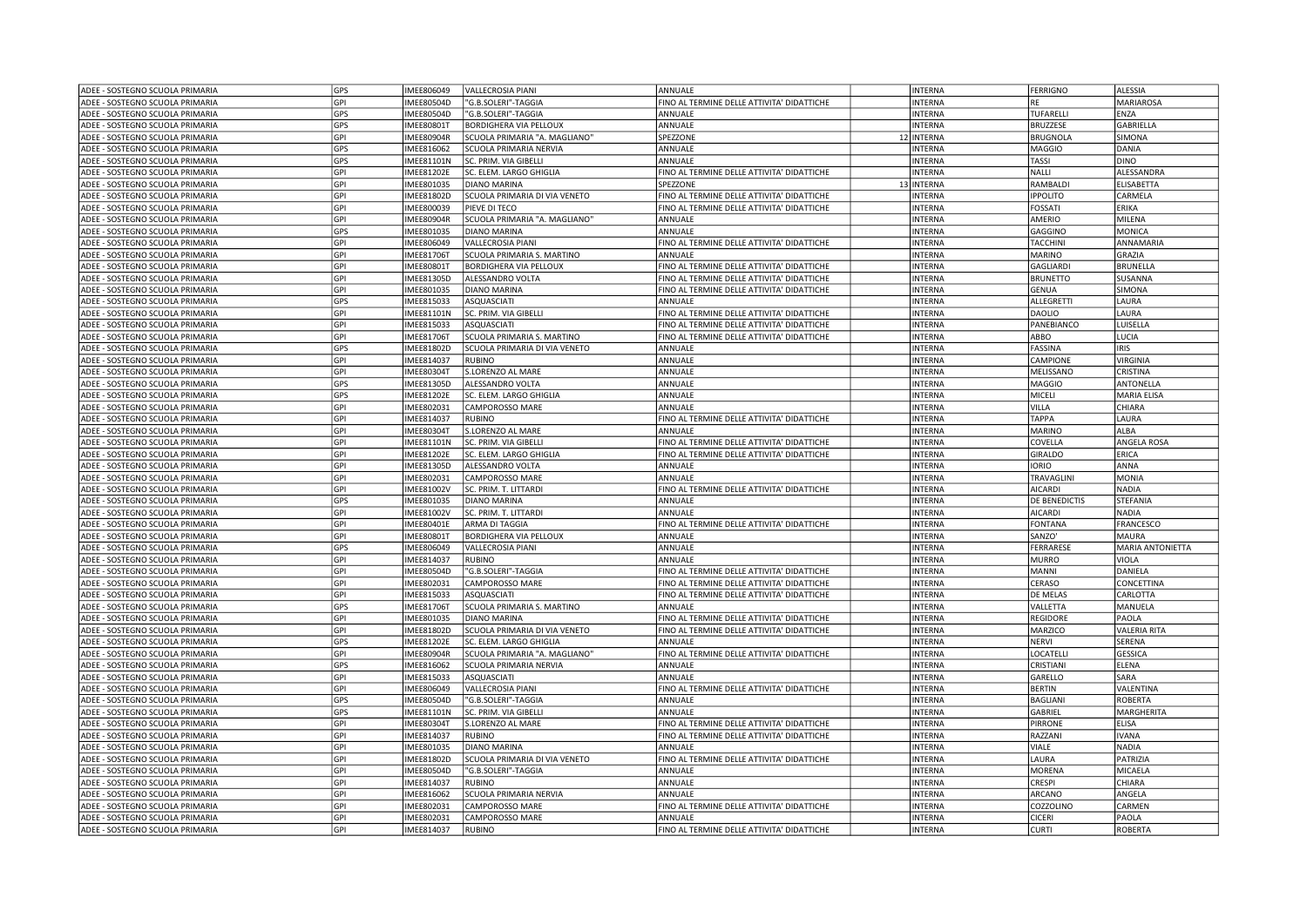| ADEE - SOSTEGNO SCUOLA PRIMARIA | GPS        | MEE806049         | <b>VALLECROSIA PIANI</b>      | ANNUALE                                    | <b>INTERNA</b> | <b>FERRIGNO</b>                        | <b>ALESSIA</b>           |
|---------------------------------|------------|-------------------|-------------------------------|--------------------------------------------|----------------|----------------------------------------|--------------------------|
| ADEE - SOSTEGNO SCUOLA PRIMARIA | GPI        | MEE80504D         | 'G.B.SOLERI"-TAGGIA           | FINO AL TERMINE DELLE ATTIVITA' DIDATTICHE | <b>INTERNA</b> | RE                                     | <b>MARIAROSA</b>         |
| ADEE - SOSTEGNO SCUOLA PRIMARIA | GPS        | MEE80504D         | 'G.B.SOLERI"-TAGGIA           | ANNUALE                                    | <b>INTERNA</b> | TUFARELLI                              | ENZA                     |
| ADEE - SOSTEGNO SCUOLA PRIMARIA | GPS        | MEE80801T         | <b>BORDIGHERA VIA PELLOUX</b> | ANNUALE                                    | <b>INTERNA</b> | <b>BRUZZESE</b>                        | <b>GABRIELLA</b>         |
| ADEE - SOSTEGNO SCUOLA PRIMARIA | GPI        | MEE80904R         | SCUOLA PRIMARIA "A. MAGLIANO" | SPEZZONE                                   | 12 INTERNA     | <b>BRUGNOLA</b>                        | SIMONA                   |
| ADEE - SOSTEGNO SCUOLA PRIMARIA | GPS        | MEE816062         | SCUOLA PRIMARIA NERVIA        | ANNUALE                                    | <b>INTERNA</b> | <b>MAGGIO</b>                          | DANIA                    |
| ADEE - SOSTEGNO SCUOLA PRIMARIA | GPS        | <b>IMEE81101N</b> | SC. PRIM. VIA GIBELLI         | ANNUALE                                    | <b>INTERNA</b> | <b>TASSI</b>                           | <b>DINO</b>              |
| ADEE - SOSTEGNO SCUOLA PRIMARIA | GPI        | <b>IMEE81202E</b> | SC. ELEM. LARGO GHIGLIA       | FINO AL TERMINE DELLE ATTIVITA' DIDATTICHE | <b>INTERNA</b> | <b>NALLI</b>                           | ALESSANDRA               |
| ADEE - SOSTEGNO SCUOLA PRIMARIA | GPI        | MEE801035         | <b>DIANO MARINA</b>           | SPEZZONE                                   | 13 INTERNA     | RAMBALDI                               | ELISABETTA               |
| ADEE - SOSTEGNO SCUOLA PRIMARIA | GPI        | <b>IMEE81802D</b> | SCUOLA PRIMARIA DI VIA VENETO | FINO AL TERMINE DELLE ATTIVITA' DIDATTICHE | <b>INTERNA</b> | <b>IPPOLITO</b>                        | CARMELA                  |
| ADEE - SOSTEGNO SCUOLA PRIMARIA | GPI        | MEE800039         | PIEVE DI TECO                 | FINO AL TERMINE DELLE ATTIVITA' DIDATTICHE | <b>INTERNA</b> | FOSSATI                                | ERIKA                    |
|                                 | GPI        | MEE80904R         | SCUOLA PRIMARIA "A. MAGLIANO" | ANNUALE                                    | <b>INTERNA</b> | AMERIO                                 | MILENA                   |
| ADEE - SOSTEGNO SCUOLA PRIMARIA |            |                   |                               |                                            |                |                                        |                          |
| ADEE - SOSTEGNO SCUOLA PRIMARIA | GPS        | IMEE801035        | <b>DIANO MARINA</b>           | ANNUALE                                    | <b>INTERNA</b> | GAGGINO                                | <b>MONICA</b>            |
| ADEE - SOSTEGNO SCUOLA PRIMARIA | GPI        | IMEE806049        | VALLECROSIA PIANI             | FINO AL TERMINE DELLE ATTIVITA' DIDATTICHE | <b>INTERNA</b> | TACCHINI                               | ANNAMARIA                |
| ADEE - SOSTEGNO SCUOLA PRIMARIA | GPI        | MEE81706T         | SCUOLA PRIMARIA S. MARTINO    | ANNUALE                                    | <b>INTERNA</b> | <b>MARINO</b>                          | GRAZIA                   |
| ADEE - SOSTEGNO SCUOLA PRIMARIA | GPI        | <b>IMEE80801T</b> | BORDIGHERA VIA PELLOUX        | FINO AL TERMINE DELLE ATTIVITA' DIDATTICHE | <b>INTERNA</b> | <b>GAGLIARDI</b>                       | BRUNELLA                 |
| ADEE - SOSTEGNO SCUOLA PRIMARIA | GPI        | MEE81305D         | ALESSANDRO VOLTA              | FINO AL TERMINE DELLE ATTIVITA' DIDATTICHE | <b>INTERNA</b> | <b>BRUNETTO</b>                        | SUSANNA                  |
| ADEE - SOSTEGNO SCUOLA PRIMARIA | GPI        | MEE801035         | <b>DIANO MARINA</b>           | FINO AL TERMINE DELLE ATTIVITA' DIDATTICHE | <b>INTERNA</b> | <b>GENUA</b>                           | SIMONA                   |
| ADEE - SOSTEGNO SCUOLA PRIMARIA | GPS        | IMEE815033        | ASQUASCIATI                   | ANNUALE                                    | INTERNA        | ALLEGRETTI                             | LAURA                    |
| ADEE - SOSTEGNO SCUOLA PRIMARIA | GPI        | <b>IMEE81101N</b> | SC. PRIM. VIA GIBELLI         | FINO AL TERMINE DELLE ATTIVITA' DIDATTICHE | <b>INTERNA</b> | <b>DAOLIO</b>                          | LAURA                    |
| ADEE - SOSTEGNO SCUOLA PRIMARIA | GPI        | MEE815033         | ASQUASCIATI                   | FINO AL TERMINE DELLE ATTIVITA' DIDATTICHE | <b>INTERNA</b> | PANEBIANCO                             | LUISELLA                 |
| ADEE - SOSTEGNO SCUOLA PRIMARIA | GPI        | <b>IMEE81706T</b> | SCUOLA PRIMARIA S. MARTINO    | FINO AL TERMINE DELLE ATTIVITA' DIDATTICHE | <b>INTERNA</b> | ABBO                                   | LUCIA                    |
| ADEE - SOSTEGNO SCUOLA PRIMARIA | GPS        | MEE81802D         | SCUOLA PRIMARIA DI VIA VENETO | ANNUALE                                    | <b>INTERNA</b> | <b>FASSINA</b>                         | <b>IRIS</b>              |
| ADEE - SOSTEGNO SCUOLA PRIMARIA | GPI        | MEE814037         | <b>RUBINO</b>                 | ANNUALE                                    | <b>INTERNA</b> | CAMPIONE                               | <b>VIRGINIA</b>          |
| ADEE - SOSTEGNO SCUOLA PRIMARIA | GPI        | <b>IMEE80304T</b> | S.LORENZO AL MARE             | ANNUALE                                    | <b>INTERNA</b> | MELISSANO                              | <b>CRISTINA</b>          |
| ADEE - SOSTEGNO SCUOLA PRIMARIA | GPS        | MEE81305D         | ALESSANDRO VOLTA              | ANNUALE                                    | <b>INTERNA</b> | <b>MAGGIO</b>                          | ANTONELLA                |
| ADEE - SOSTEGNO SCUOLA PRIMARIA | GPS        | MEE81202E         | SC. ELEM. LARGO GHIGLIA       | ANNUALE                                    | <b>INTERNA</b> | MICELI                                 | <b>MARIA ELISA</b>       |
| ADEE - SOSTEGNO SCUOLA PRIMARIA | GPI        | IMEE802031        | CAMPOROSSO MARE               | ANNUALE                                    | <b>INTERNA</b> | VILLA                                  | CHIARA                   |
| ADEE - SOSTEGNO SCUOLA PRIMARIA | GPI        | MEE814037         | <b>RUBINO</b>                 | FINO AL TERMINE DELLE ATTIVITA' DIDATTICHE | <b>INTERNA</b> | <b>TAPPA</b>                           | LAURA                    |
| ADEE - SOSTEGNO SCUOLA PRIMARIA | GPI        | MEE80304T         | S.LORENZO AL MARE             | ANNUALE                                    | <b>INTERNA</b> | <b>MARINO</b>                          | ALBA                     |
| ADEE - SOSTEGNO SCUOLA PRIMARIA | GPI        | <b>IMEE81101N</b> | SC. PRIM. VIA GIBELLI         | FINO AL TERMINE DELLE ATTIVITA' DIDATTICHE | <b>INTERNA</b> | COVELLA                                | ANGELA ROSA              |
| ADEE - SOSTEGNO SCUOLA PRIMARIA | GPI        | MEE81202E         | SC. ELEM. LARGO GHIGLIA       | FINO AL TERMINE DELLE ATTIVITA' DIDATTICHE | <b>INTERNA</b> | <b>GIRALDO</b>                         | ERICA                    |
| ADEE - SOSTEGNO SCUOLA PRIMARIA | GPI        | MEE81305D         | ALESSANDRO VOLTA              | ANNUALE                                    | <b>INTERNA</b> | <b>IORIO</b>                           | ANNA                     |
| ADEE - SOSTEGNO SCUOLA PRIMARIA | GPI        | IMEE802031        | CAMPOROSSO MARE               | ANNUALE                                    | <b>INTERNA</b> | TRAVAGLINI                             | <b>MONIA</b>             |
| ADEE - SOSTEGNO SCUOLA PRIMARIA | GPI        | MEE81002V         | SC. PRIM. T. LITTARDI         | FINO AL TERMINE DELLE ATTIVITA' DIDATTICHE | <b>INTERNA</b> | <b>AICARDI</b>                         | <b>NADIA</b>             |
|                                 | GPS        |                   |                               |                                            |                |                                        |                          |
| ADEE - SOSTEGNO SCUOLA PRIMARIA |            | MEE801035         | <b>DIANO MARINA</b>           | ANNUALE<br>ANNUALE                         | INTERNA        | <b>DE BENEDICTIS</b><br><b>AICARDI</b> | STEFANIA<br><b>NADIA</b> |
| ADEE - SOSTEGNO SCUOLA PRIMARIA | GPI        | <b>IMEE81002V</b> | SC. PRIM. T. LITTARDI         |                                            | <b>INTERNA</b> |                                        |                          |
| ADEE - SOSTEGNO SCUOLA PRIMARIA | GPI        | MEE80401E         | ARMA DI TAGGIA                | FINO AL TERMINE DELLE ATTIVITA' DIDATTICHE | <b>INTERNA</b> | <b>FONTANA</b>                         | FRANCESCO                |
| ADEE - SOSTEGNO SCUOLA PRIMARIA | GPI        | MEE80801T         | <b>BORDIGHERA VIA PELLOUX</b> | ANNUALE                                    | <b>INTERNA</b> | SANZO'                                 | <b>MAURA</b>             |
| ADEE - SOSTEGNO SCUOLA PRIMARIA | GPS        | IMEE806049        | VALLECROSIA PIANI             | ANNUALE                                    | <b>INTERNA</b> | FERRARESE                              | <b>MARIA ANTONIETTA</b>  |
| ADEE - SOSTEGNO SCUOLA PRIMARIA | GPI        | MEE814037         | RUBINO                        | ANNUALE                                    | <b>INTERNA</b> | <b>MURRO</b>                           | VIOLA                    |
| ADEE - SOSTEGNO SCUOLA PRIMARIA | GPI        | MEE80504D         | "G.B.SOLERI"-TAGGIA           | FINO AL TERMINE DELLE ATTIVITA' DIDATTICHE | <b>INTERNA</b> | <b>MANNI</b>                           | DANIELA                  |
| ADEE - SOSTEGNO SCUOLA PRIMARIA | GPI        | IMEE802031        | CAMPOROSSO MARE               | FINO AL TERMINE DELLE ATTIVITA' DIDATTICHE | <b>INTERNA</b> | <b>CERASO</b>                          | CONCETTINA               |
| ADEE - SOSTEGNO SCUOLA PRIMARIA | GPI        | MEE815033         | ASQUASCIATI                   | FINO AL TERMINE DELLE ATTIVITA' DIDATTICHE | <b>INTERNA</b> | DE MELAS                               | CARLOTTA                 |
| ADEE - SOSTEGNO SCUOLA PRIMARIA | GPS        | MEE81706T         | SCUOLA PRIMARIA S. MARTINO    | ANNUALE                                    | <b>INTERNA</b> | VALLETTA                               | MANUELA                  |
| ADEE - SOSTEGNO SCUOLA PRIMARIA | GPI        | <b>IMEE801035</b> | <b>DIANO MARINA</b>           | FINO AL TERMINE DELLE ATTIVITA' DIDATTICHE | <b>INTERNA</b> | REGIDORE                               | PAOLA                    |
| ADEE - SOSTEGNO SCUOLA PRIMARIA | GPI        | MEE81802D         | SCUOLA PRIMARIA DI VIA VENETO | FINO AL TERMINE DELLE ATTIVITA' DIDATTICHE | <b>INTERNA</b> | MARZICO                                | <b>VALERIA RITA</b>      |
| ADEE - SOSTEGNO SCUOLA PRIMARIA | GPS        | MEE81202E         | SC. ELEM. LARGO GHIGLIA       | ANNUALE                                    | <b>INTERNA</b> | <b>NERVI</b>                           | <b>SERENA</b>            |
| ADEE - SOSTEGNO SCUOLA PRIMARIA | GPI        | <b>IMEE80904R</b> | SCUOLA PRIMARIA "A. MAGLIANO" | FINO AL TERMINE DELLE ATTIVITA' DIDATTICHE | <b>INTERNA</b> | LOCATELLI                              | <b>GESSICA</b>           |
| ADEE - SOSTEGNO SCUOLA PRIMARIA | <b>GPS</b> | MEE816062         | SCUOLA PRIMARIA NERVIA        | ANNUALE                                    | <b>INTERNA</b> | CRISTIANI                              | ELENA                    |
| ADEE - SOSTEGNO SCUOLA PRIMARIA | GPI        | MEE815033         | ASQUASCIATI                   | ANNUALE                                    | <b>INTERNA</b> | GARELLO                                | SARA                     |
| ADEE - SOSTEGNO SCUOLA PRIMARIA | GPI        | IMEE806049        | <b>VALLECROSIA PIANI</b>      | FINO AL TERMINE DELLE ATTIVITA' DIDATTICHE | <b>INTERNA</b> | <b>BERTIN</b>                          | VALENTINA                |
| ADEE - SOSTEGNO SCUOLA PRIMARIA | GPS        | MEE80504D         | 'G.B.SOLERI"-TAGGIA           | ANNUALE                                    | <b>INTERNA</b> | <b>BAGLIANI</b>                        | <b>ROBERTA</b>           |
| ADEE - SOSTEGNO SCUOLA PRIMARIA | GPS        | MEE81101N         | SC. PRIM. VIA GIBELLI         | ANNUALE                                    | <b>INTERNA</b> | GABRIEL                                | MARGHERITA               |
| ADEE - SOSTEGNO SCUOLA PRIMARIA | GPI        | <b>IMEE80304T</b> | S.LORENZO AL MARE             | FINO AL TERMINE DELLE ATTIVITA' DIDATTICHE | <b>INTERNA</b> | <b>PIRRONE</b>                         | <b>ELISA</b>             |
| ADEE - SOSTEGNO SCUOLA PRIMARIA | GPI        | MEE814037         | RUBINO                        | FINO AL TERMINE DELLE ATTIVITA' DIDATTICHE | <b>INTERNA</b> | RAZZANI                                | <b>IVANA</b>             |
| ADEE - SOSTEGNO SCUOLA PRIMARIA | GPI        | MEE801035         | DIANO MARINA                  | ANNUALE                                    | <b>INTERNA</b> | VIALE                                  | <b>NADIA</b>             |
| ADEE - SOSTEGNO SCUOLA PRIMARIA | GPI        | MEE81802D         | SCUOLA PRIMARIA DI VIA VENETO | FINO AL TERMINE DELLE ATTIVITA' DIDATTICHE | <b>INTERNA</b> | LAURA                                  | PATRIZIA                 |
| ADEE - SOSTEGNO SCUOLA PRIMARIA | GPI        | MEE80504D         | 'G.B.SOLERI"-TAGGIA           | ANNUALE                                    | <b>INTERNA</b> | <b>MORENA</b>                          | MICAELA                  |
|                                 | GPI        |                   | RUBINO                        | ANNUALE                                    |                | <b>CRESPI</b>                          | CHIARA                   |
| ADEE - SOSTEGNO SCUOLA PRIMARIA |            | MEE814037         |                               |                                            | <b>INTERNA</b> |                                        |                          |
| ADEE - SOSTEGNO SCUOLA PRIMARIA | GPI        | MEE816062         | SCUOLA PRIMARIA NERVIA        | ANNUALE                                    | <b>INTERNA</b> | <b>ARCANO</b>                          | ANGELA                   |
| ADEE - SOSTEGNO SCUOLA PRIMARIA | GPI        | MEE802031         | CAMPOROSSO MARE               | INO AL TERMINE DELLE ATTIVITA' DIDATTICHE  | <b>INTERNA</b> | COZZOLINO                              | CARMEN                   |
| ADEE - SOSTEGNO SCUOLA PRIMARIA | GPI        | MEE802031         | CAMPOROSSO MARE               | ANNUALE                                    | <b>INTERNA</b> | <b>CICERI</b>                          | PAOLA                    |
| ADEE - SOSTEGNO SCUOLA PRIMARIA | GPI        | IMEE814037        | <b>RUBINO</b>                 | FINO AL TERMINE DELLE ATTIVITA' DIDATTICHE | <b>INTERNA</b> | <b>CURTI</b>                           | <b>ROBERTA</b>           |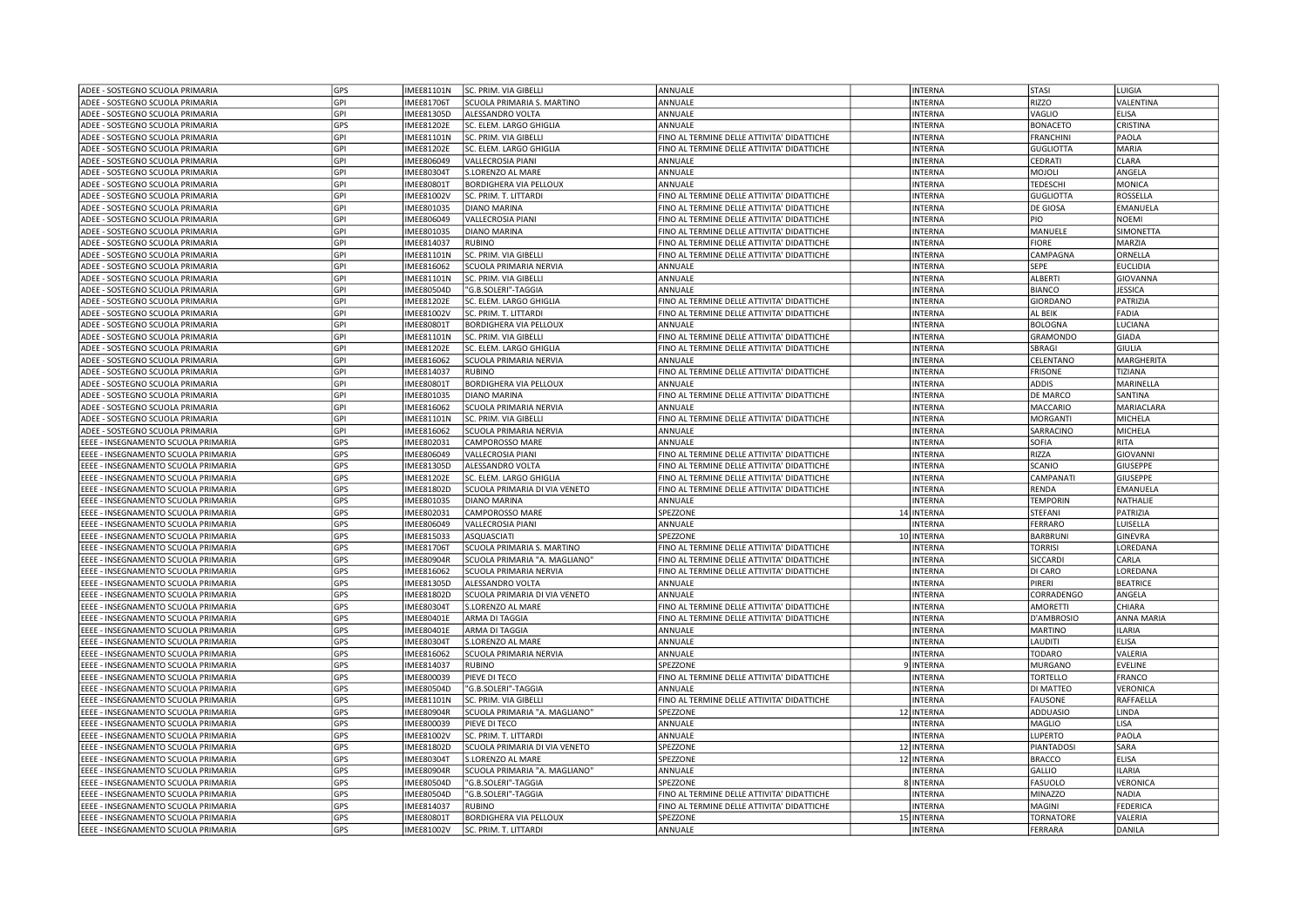| ADEE - SOSTEGNO SCUOLA PRIMARIA                                            | GPS               | <b>IMEE81101N</b>      | SC. PRIM. VIA GIBELLI                           | ANNUALE                                    | <b>INTERNA</b>               | <b>STASI</b>                       | LUIGIA            |
|----------------------------------------------------------------------------|-------------------|------------------------|-------------------------------------------------|--------------------------------------------|------------------------------|------------------------------------|-------------------|
| ADEE - SOSTEGNO SCUOLA PRIMARIA                                            | GPI               | MEE81706T              | SCUOLA PRIMARIA S. MARTINO                      | ANNUALE                                    | <b>INTERNA</b>               | <b>RIZZO</b>                       | VALENTINA         |
| ADEE - SOSTEGNO SCUOLA PRIMARIA                                            | GPI               | MEE81305D              | ALESSANDRO VOLTA                                | ANNUALE                                    | <b>INTERNA</b>               | VAGLIO                             | <b>ELISA</b>      |
| ADEE - SOSTEGNO SCUOLA PRIMARIA                                            | GPS               | MEE81202E              | SC. ELEM. LARGO GHIGLIA                         | ANNUALE                                    | <b>INTERNA</b>               | <b>BONACETO</b>                    | CRISTINA          |
| ADEE - SOSTEGNO SCUOLA PRIMARIA                                            | GPI               | MEE81101N              | SC. PRIM. VIA GIBELLI                           | INO AL TERMINE DELLE ATTIVITA' DIDATTICHE  | <b>INTERNA</b>               | <b>FRANCHINI</b>                   | PAOLA             |
| ADEE - SOSTEGNO SCUOLA PRIMARIA                                            | GPI               | MEE81202E              | SC. ELEM. LARGO GHIGLIA                         | FINO AL TERMINE DELLE ATTIVITA' DIDATTICHE | <b>INTERNA</b>               | <b>GUGLIOTTA</b>                   | <b>MARIA</b>      |
| ADEE - SOSTEGNO SCUOLA PRIMARIA                                            | GPI               | IMEE806049             | <b>VALLECROSIA PIANI</b>                        | ANNUALE                                    | <b>INTERNA</b>               | CEDRATI                            | <b>CLARA</b>      |
| ADEE - SOSTEGNO SCUOLA PRIMARIA                                            | GPI               | MEE80304T              | S.LORENZO AL MARE                               | ANNUALE                                    | <b>INTERNA</b>               | MOJOLI                             | ANGELA            |
| ADEE - SOSTEGNO SCUOLA PRIMARIA                                            | GPI               | MEE80801T              | <b>BORDIGHERA VIA PELLOUX</b>                   | ANNUALE                                    | <b>INTERNA</b>               | <b>TEDESCHI</b>                    | MONICA            |
| ADEE - SOSTEGNO SCUOLA PRIMARIA                                            | GPI               | MEE81002V              | SC. PRIM. T. LITTARDI                           | FINO AL TERMINE DELLE ATTIVITA' DIDATTICHE | <b>INTERNA</b>               | <b>GUGLIOTTA</b>                   | ROSSELLA          |
| ADEE - SOSTEGNO SCUOLA PRIMARIA                                            | GPI               | MEE801035              | <b>DIANO MARINA</b>                             | FINO AL TERMINE DELLE ATTIVITA' DIDATTICHE | <b>INTERNA</b>               | <b>DE GIOSA</b>                    | EMANUELA          |
| ADEE - SOSTEGNO SCUOLA PRIMARIA                                            | GPI               | MEE806049              | VALLECROSIA PIANI                               | FINO AL TERMINE DELLE ATTIVITA' DIDATTICHE | <b>INTERNA</b>               | PIO                                | <b>NOEMI</b>      |
| ADEE - SOSTEGNO SCUOLA PRIMARIA                                            | GPI               | IMEE801035             | <b>DIANO MARINA</b>                             | FINO AL TERMINE DELLE ATTIVITA' DIDATTICHE | <b>INTERNA</b>               | MANUELE                            | <b>SIMONETTA</b>  |
| ADEE - SOSTEGNO SCUOLA PRIMARIA                                            | GPI               | MEE814037              | <b>RUBINO</b>                                   | FINO AL TERMINE DELLE ATTIVITA' DIDATTICHE | <b>INTERNA</b>               | <b>FIORE</b>                       | MARZIA            |
| ADEE - SOSTEGNO SCUOLA PRIMARIA                                            | GPI               | MEE81101N              | SC. PRIM. VIA GIBELLI                           | FINO AL TERMINE DELLE ATTIVITA' DIDATTICHE | <b>INTERNA</b>               | CAMPAGNA                           | ORNELLA           |
| ADEE - SOSTEGNO SCUOLA PRIMARIA                                            | GPI               | MEE816062              | SCUOLA PRIMARIA NERVIA                          | ANNUALE                                    | <b>INTERNA</b>               | SEPE                               | <b>EUCLIDIA</b>   |
|                                                                            |                   |                        |                                                 |                                            |                              |                                    |                   |
| ADEE - SOSTEGNO SCUOLA PRIMARIA                                            | GPI               | MEE81101N              | SC. PRIM. VIA GIBELLI                           | ANNUALE                                    | <b>INTERNA</b>               | <b>ALBERT</b>                      | GIOVANNA          |
| ADEE - SOSTEGNO SCUOLA PRIMARIA                                            | GPI               | MEE80504D              | "G.B.SOLERI"-TAGGIA                             | ANNUALE                                    | <b>INTERNA</b>               | <b>BIANCO</b>                      | <b>JESSICA</b>    |
| ADEE - SOSTEGNO SCUOLA PRIMARIA                                            | GPI               | MEE81202E              | SC. ELEM. LARGO GHIGLIA                         | FINO AL TERMINE DELLE ATTIVITA' DIDATTICHE | <b>INTERNA</b>               | <b>GIORDANO</b>                    | PATRIZIA          |
| ADEE - SOSTEGNO SCUOLA PRIMARIA                                            | GPI               | MEE81002V              | SC. PRIM. T. LITTARDI                           | FINO AL TERMINE DELLE ATTIVITA' DIDATTICHE | <b>INTERNA</b>               | AL BEIK                            | FADIA             |
| ADEE - SOSTEGNO SCUOLA PRIMARIA                                            | GPI               | MEE80801T              | <b>BORDIGHERA VIA PELLOUX</b>                   | ANNUALE                                    | <b>INTERNA</b>               | <b>BOLOGNA</b>                     | LUCIANA           |
| ADEE - SOSTEGNO SCUOLA PRIMARIA                                            | GPI               | MEE81101N              | SC. PRIM. VIA GIBELLI                           | FINO AL TERMINE DELLE ATTIVITA' DIDATTICHE | <b>INTERNA</b>               | <b>GRAMONDO</b>                    | <b>GIADA</b>      |
| ADEE - SOSTEGNO SCUOLA PRIMARIA                                            | GPI               | MEE81202E              | SC. ELEM. LARGO GHIGLIA                         | FINO AL TERMINE DELLE ATTIVITA' DIDATTICHE | <b>INTERNA</b>               | SBRAGI                             | GIULIA            |
| ADEE - SOSTEGNO SCUOLA PRIMARIA                                            | GPI               | MEE816062              | SCUOLA PRIMARIA NERVIA                          | ANNUALE                                    | <b>INTERNA</b>               | CELENTANO                          | MARGHERITA        |
| ADEE - SOSTEGNO SCUOLA PRIMARIA                                            | GPI               | IMEE814037             | <b>RUBINO</b>                                   | FINO AL TERMINE DELLE ATTIVITA' DIDATTICHE | <b>INTERNA</b>               | <b>FRISONE</b>                     | <b>TIZIANA</b>    |
| ADEE - SOSTEGNO SCUOLA PRIMARIA                                            | GPI               | MEE80801T              | BORDIGHERA VIA PELLOUX                          | ANNUALE                                    | <b>INTERNA</b>               | <b>ADDIS</b>                       | MARINELLA         |
| ADEE - SOSTEGNO SCUOLA PRIMARIA                                            | GPI               | MEE801035              | <b>DIANO MARINA</b>                             | FINO AL TERMINE DELLE ATTIVITA' DIDATTICHE | <b>INTERNA</b>               | <b>DE MARCO</b>                    | SANTINA           |
| ADEE - SOSTEGNO SCUOLA PRIMARIA                                            | GPI               | MEE816062              | SCUOLA PRIMARIA NERVIA                          | ANNUALE                                    | <b>INTERNA</b>               | MACCARIO                           | MARIACLARA        |
| ADEE - SOSTEGNO SCUOLA PRIMARIA                                            | GPI               | MEE81101N              | SC. PRIM. VIA GIBELLI                           | FINO AL TERMINE DELLE ATTIVITA' DIDATTICHE | <b>INTERNA</b>               | <b>MORGANTI</b>                    | MICHELA           |
| ADEE - SOSTEGNO SCUOLA PRIMARIA                                            | GPI               | MEE816062              | SCUOLA PRIMARIA NERVIA                          | ANNUALE                                    | <b>INTERNA</b>               | SARRACINO                          | MICHELA           |
| EEEE - INSEGNAMENTO SCUOLA PRIMARIA                                        | GPS               | IMEE802031             | CAMPOROSSO MARE                                 | ANNUALE                                    | <b>INTERNA</b>               | <b>SOFIA</b>                       | RITA              |
| EEEE - INSEGNAMENTO SCUOLA PRIMARIA                                        | <b>GPS</b>        | MEE806049              | <b>VALLECROSIA PIANI</b>                        | FINO AL TERMINE DELLE ATTIVITA' DIDATTICHE | <b>INTERNA</b>               | RIZZA                              | GIOVANNI          |
| EEEE - INSEGNAMENTO SCUOLA PRIMARIA                                        | GPS               | MEE81305D              | ALESSANDRO VOLTA                                | FINO AL TERMINE DELLE ATTIVITA' DIDATTICHE | <b>INTERNA</b>               | SCANIO                             | <b>GIUSEPPE</b>   |
| EEEE - INSEGNAMENTO SCUOLA PRIMARIA                                        | GPS               | MEE81202E              | SC. ELEM. LARGO GHIGLIA                         | FINO AL TERMINE DELLE ATTIVITA' DIDATTICHE | <b>INTERNA</b>               | CAMPANATI                          | GIUSEPPE          |
| EEEE - INSEGNAMENTO SCUOLA PRIMARIA                                        | GPS               | MEE81802D              | SCUOLA PRIMARIA DI VIA VENETO                   | FINO AL TERMINE DELLE ATTIVITA' DIDATTICHE | <b>INTERNA</b>               | <b>RENDA</b>                       | EMANUELA          |
| EEEE - INSEGNAMENTO SCUOLA PRIMARIA                                        | GPS               | MEE801035              | <b>DIANO MARINA</b>                             | ANNUALE                                    | <b>INTERNA</b>               | <b>TEMPORIN</b>                    | <b>NATHALIE</b>   |
| EEEE - INSEGNAMENTO SCUOLA PRIMARIA                                        | GPS               | IMEE802031             | CAMPOROSSO MARE                                 | SPEZZONE                                   | 14 INTERNA                   | STEFANI                            | PATRIZIA          |
| EEEE - INSEGNAMENTO SCUOLA PRIMARIA                                        | GPS               | MEE806049              | <b>VALLECROSIA PIANI</b>                        | ANNUALE                                    | <b>INTERNA</b>               | <b>FERRARO</b>                     | LUISELLA          |
| EEEE - INSEGNAMENTO SCUOLA PRIMARIA                                        | GPS               | MEE815033              | ASQUASCIATI                                     | SPEZZONE                                   | 10 INTERNA                   | <b>BARBRUNI</b>                    | <b>GINEVRA</b>    |
| EEEE - INSEGNAMENTO SCUOLA PRIMARIA                                        | GPS               | MEE81706T              | SCUOLA PRIMARIA S. MARTINO                      | FINO AL TERMINE DELLE ATTIVITA' DIDATTICHE | <b>INTERNA</b>               | <b>TORRISI</b>                     | LOREDANA          |
| EEEE - INSEGNAMENTO SCUOLA PRIMARIA                                        | GPS               | MEE80904R              | SCUOLA PRIMARIA "A. MAGLIANO"                   | FINO AL TERMINE DELLE ATTIVITA' DIDATTICHE | <b>INTERNA</b>               | <b>SICCARDI</b>                    | CARLA             |
| EEEE - INSEGNAMENTO SCUOLA PRIMARIA                                        | GPS               | MEE816062              | SCUOLA PRIMARIA NERVIA                          | FINO AL TERMINE DELLE ATTIVITA' DIDATTICHE | <b>INTERNA</b>               | DI CARO                            | LOREDANA          |
| EEEE - INSEGNAMENTO SCUOLA PRIMARIA                                        | GPS               | MEE81305D              | ALESSANDRO VOLTA                                | ANNUALE                                    | <b>INTERNA</b>               | PIRERI                             | <b>BEATRICE</b>   |
| EEEE - INSEGNAMENTO SCUOLA PRIMARIA                                        | GPS               | MEE81802D              | SCUOLA PRIMARIA DI VIA VENETO                   | ANNUALE                                    | <b>INTERNA</b>               | CORRADENGO                         | ANGELA            |
| EEEE - INSEGNAMENTO SCUOLA PRIMARIA                                        | GPS               | MEE80304T              | S.LORENZO AL MARE                               | FINO AL TERMINE DELLE ATTIVITA' DIDATTICHE | <b>INTERNA</b>               | <b>AMORETTI</b>                    | CHIARA            |
| EEEE - INSEGNAMENTO SCUOLA PRIMARIA                                        | GPS               | MEE80401E              | ARMA DI TAGGIA                                  | FINO AL TERMINE DELLE ATTIVITA' DIDATTICHE | <b>INTERNA</b>               | D'AMBROSIO                         | <b>ANNA MARIA</b> |
| EEEE - INSEGNAMENTO SCUOLA PRIMARIA                                        | GPS               | MEE80401E              | ARMA DI TAGGIA                                  | ANNUALE                                    | <b>INTERNA</b>               | <b>MARTINO</b>                     | <b>ILARIA</b>     |
| EEEE - INSEGNAMENTO SCUOLA PRIMARIA                                        | GPS               | MEE80304T              | S.LORENZO AL MARE                               | ANNUALE                                    | <b>INTERNA</b>               | LAUDITI                            | <b>ELISA</b>      |
| EEEE - INSEGNAMENTO SCUOLA PRIMARIA                                        | GPS               | MEE816062              | SCUOLA PRIMARIA NERVIA                          | ANNUALE                                    | <b>INTERNA</b>               | <b>TODARO</b>                      | VALERIA           |
| EEEE - INSEGNAMENTO SCUOLA PRIMARIA                                        | GPS               | MEE814037              | <b>RUBINO</b>                                   | SPEZZONE                                   | 9 INTERNA                    | <b>MURGANO</b>                     | <b>EVELINE</b>    |
| EEEE - INSEGNAMENTO SCUOLA PRIMARIA                                        | GPS               | MEE800039              | PIEVE DI TECO                                   | FINO AL TERMINE DELLE ATTIVITA' DIDATTICHE | <b>INTERNA</b>               | <b>TORTELLO</b>                    | FRANCO            |
| EEEE - INSEGNAMENTO SCUOLA PRIMARIA                                        | GPS               | MEE80504D              | 'G.B.SOLERI"-TAGGIA                             | ANNUALE                                    | <b>INTERNA</b>               | DI MATTEO                          | VERONICA          |
| EEEE - INSEGNAMENTO SCUOLA PRIMARIA                                        | GPS               | MEE81101N              | SC. PRIM. VIA GIBELLI                           | FINO AL TERMINE DELLE ATTIVITA' DIDATTICHE | <b>INTERNA</b>               | <b>FAUSONE</b>                     | RAFFAELLA         |
| EEEE - INSEGNAMENTO SCUOLA PRIMARIA                                        | GPS               | MEE80904R              | SCUOLA PRIMARIA "A. MAGLIANO"                   | SPEZZONE                                   | 12 INTERNA                   | ADDUASIO                           | LINDA             |
| EEEE - INSEGNAMENTO SCUOLA PRIMARIA                                        | GPS               | MEE800039              | PIEVE DI TECO                                   | ANNUALE                                    | <b>INTERNA</b>               | MAGLIO                             | LISA              |
| EEEE - INSEGNAMENTO SCUOLA PRIMARIA                                        | GPS               | MEE81002V              | SC. PRIM. T. LITTARDI                           | ANNUALE                                    | <b>INTERNA</b>               | LUPERTO                            | PAOLA             |
| EEEE - INSEGNAMENTO SCUOLA PRIMARIA                                        | GPS               | MEE81802D              | SCUOLA PRIMARIA DI VIA VENETO                   | SPEZZONE                                   | 12 INTERNA                   | PIANTADOSI                         | SARA              |
| EEEE - INSEGNAMENTO SCUOLA PRIMARIA                                        | <b>GPS</b>        | MEE80304T              | S.LORENZO AL MARE                               | SPEZZONE                                   | 12 INTERNA                   | <b>BRACCO</b>                      | <b>ELISA</b>      |
| EEEE - INSEGNAMENTO SCUOLA PRIMARIA                                        | GPS               | MEE80904R              | SCUOLA PRIMARIA "A. MAGLIANO"                   | ANNUALE                                    | <b>INTERNA</b>               | GALLIO                             | <b>LARIA</b>      |
| EEEE - INSEGNAMENTO SCUOLA PRIMARIA                                        | GPS               | MEE80504D              | 'G.B.SOLERI"-TAGGIA                             | SPEZZONE                                   | 8 INTERNA                    | <b>FASUOLO</b>                     | VERONICA          |
| EEEE - INSEGNAMENTO SCUOLA PRIMARIA                                        | GPS               | MEE80504D              | "G.B.SOLERI"-TAGGIA                             | FINO AL TERMINE DELLE ATTIVITA' DIDATTICHE | <b>INTERNA</b>               | MINAZZO                            | <b>NADIA</b>      |
| EEEE - INSEGNAMENTO SCUOLA PRIMARIA                                        |                   |                        |                                                 |                                            |                              |                                    |                   |
|                                                                            |                   |                        |                                                 |                                            |                              |                                    |                   |
|                                                                            | GPS               | MEE814037              | RUBINO                                          | INO AL TERMINE DELLE ATTIVITA' DIDATTICHE  | <b>INTERNA</b>               | MAGINI                             | FEDERICA          |
| EEEE - INSEGNAMENTO SCUOLA PRIMARIA<br>EEEE - INSEGNAMENTO SCUOLA PRIMARIA | GPS<br><b>GPS</b> | MEE80801T<br>MEE81002V | BORDIGHERA VIA PELLOUX<br>SC. PRIM. T. LITTARDI | SPEZZONE<br>ANNUALE                        | 15 INTERNA<br><b>INTERNA</b> | <b>TORNATORE</b><br><b>FERRARA</b> | VALERIA<br>DANILA |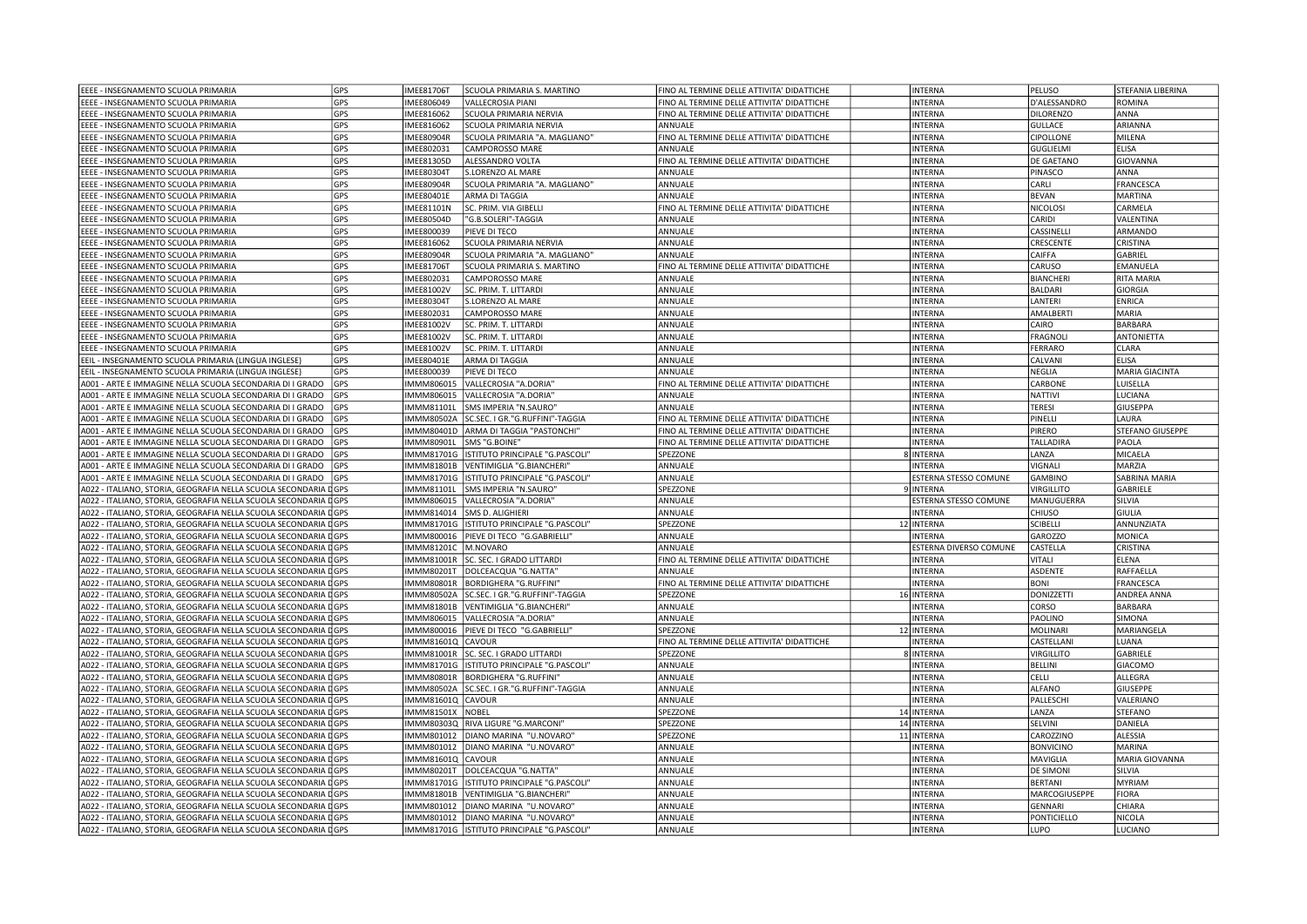| EEEE - INSEGNAMENTO SCUOLA PRIMARIA                                                                                                | GPS        | <b>IMEE81706T</b>             | SCUOLA PRIMARIA S. MARTINO                                 | FINO AL TERMINE DELLE ATTIVITA' DIDATTICHE | <b>INTERNA</b>                   | PELUSO              | <b>STEFANIA LIBERINA</b>  |
|------------------------------------------------------------------------------------------------------------------------------------|------------|-------------------------------|------------------------------------------------------------|--------------------------------------------|----------------------------------|---------------------|---------------------------|
| EEEE - INSEGNAMENTO SCUOLA PRIMARIA                                                                                                | GPS        | IMEE806049                    | <b>VALLECROSIA PIANI</b>                                   | FINO AL TERMINE DELLE ATTIVITA' DIDATTICHE | <b>INTERNA</b>                   | D'ALESSANDRO        | ROMINA                    |
| EEEE - INSEGNAMENTO SCUOLA PRIMARIA                                                                                                | GPS        | <b>IMEE816062</b>             | SCUOLA PRIMARIA NERVIA                                     | FINO AL TERMINE DELLE ATTIVITA' DIDATTICHE | <b>INTERNA</b>                   | DILORENZO           | ANNA                      |
| EEEE - INSEGNAMENTO SCUOLA PRIMARIA                                                                                                | GPS        | IMEE816062                    | SCUOLA PRIMARIA NERVIA                                     | ANNUALE                                    | <b>INTERNA</b>                   | GULLACE             | ARIANNA                   |
| EEEE - INSEGNAMENTO SCUOLA PRIMARIA                                                                                                | GPS        | <b>IMEE80904R</b>             | SCUOLA PRIMARIA "A. MAGLIANO"                              | FINO AL TERMINE DELLE ATTIVITA' DIDATTICHE | <b>INTERNA</b>                   | <b>CIPOLLONE</b>    | MILENA                    |
| EEEE - INSEGNAMENTO SCUOLA PRIMARIA                                                                                                | GPS        | MEE802031                     | CAMPOROSSO MARE                                            | ANNUALE                                    | <b>INTERNA</b>                   | <b>GUGLIELMI</b>    | <b>ELISA</b>              |
| EEEE - INSEGNAMENTO SCUOLA PRIMARIA                                                                                                | GPS        | <b>IMEE81305D</b>             | ALESSANDRO VOLTA                                           | FINO AL TERMINE DELLE ATTIVITA' DIDATTICHE | <b>INTERNA</b>                   | DE GAETANO          | GIOVANNA                  |
| EEEE - INSEGNAMENTO SCUOLA PRIMARIA                                                                                                | GPS        | <b>IMEE80304T</b>             | S.LORENZO AL MARE                                          | ANNUALE                                    | <b>INTERNA</b>                   | PINASCO             | ANNA                      |
| EEEE - INSEGNAMENTO SCUOLA PRIMARIA                                                                                                | GPS        | <b>IMEE80904R</b>             | SCUOLA PRIMARIA "A. MAGLIANO"                              | ANNUALE                                    | <b>INTERNA</b>                   | CARLI               | FRANCESCA                 |
| EEEE - INSEGNAMENTO SCUOLA PRIMARIA                                                                                                | GPS        | <b>IMEE80401E</b>             | ARMA DI TAGGIA                                             | ANNUALE                                    | <b>INTERNA</b>                   | <b>BEVAN</b>        | MARTINA                   |
| EEEE - INSEGNAMENTO SCUOLA PRIMARIA                                                                                                | GPS        | <b>IMEE81101N</b>             | SC. PRIM. VIA GIBELLI                                      | FINO AL TERMINE DELLE ATTIVITA' DIDATTICHE | <b>INTERNA</b>                   | <b>NICOLOSI</b>     | CARMELA                   |
| EEEE - INSEGNAMENTO SCUOLA PRIMARIA                                                                                                | GPS        | <b>IMEE80504D</b>             | "G.B.SOLERI"-TAGGIA                                        | ANNUALE                                    | <b>INTERNA</b>                   | CARIDI              | VALENTINA                 |
| EEEE - INSEGNAMENTO SCUOLA PRIMARIA                                                                                                | GPS        | IMEE800039                    | PIEVE DI TECO                                              | ANNUALE                                    | <b>INTERNA</b>                   | CASSINELLI          | ARMANDO                   |
| EEEE - INSEGNAMENTO SCUOLA PRIMARIA                                                                                                | GPS        | IMEE816062                    | SCUOLA PRIMARIA NERVIA                                     | ANNUALE                                    | <b>INTERNA</b>                   | CRESCENTE           | <b>CRISTINA</b>           |
| EEEE - INSEGNAMENTO SCUOLA PRIMARIA                                                                                                | GPS        | <b>IMEE80904R</b>             | SCUOLA PRIMARIA "A. MAGLIANO"                              | ANNUALE                                    | <b>INTERNA</b>                   | CAIFFA              | <b>GABRIEL</b>            |
| EEEE - INSEGNAMENTO SCUOLA PRIMARIA                                                                                                | GPS        | <b>IMEE81706T</b>             | SCUOLA PRIMARIA S. MARTINO                                 | FINO AL TERMINE DELLE ATTIVITA' DIDATTICHE | <b>INTERNA</b>                   | CARUSO              | EMANUELA                  |
| EEEE - INSEGNAMENTO SCUOLA PRIMARIA                                                                                                | GPS        | IMEE802031                    | CAMPOROSSO MARE                                            | ANNUALE                                    | <b>INTERNA</b>                   | <b>BIANCHER</b>     | <b>RITA MARIA</b>         |
| EEEE - INSEGNAMENTO SCUOLA PRIMARIA                                                                                                | <b>GPS</b> | <b>IMEE81002V</b>             | SC. PRIM. T. LITTARDI                                      | ANNUALE                                    | <b>INTERNA</b>                   | <b>BALDARI</b>      | GIORGIA                   |
| EEEE - INSEGNAMENTO SCUOLA PRIMARIA                                                                                                | GPS        | <b>IMEE80304T</b>             | <b>S.LORENZO AL MARE</b>                                   | ANNUALE                                    | <b>INTERNA</b>                   | ANTERI              | <b>ENRICA</b>             |
| EEEE - INSEGNAMENTO SCUOLA PRIMARIA                                                                                                | GPS        | IMEE802031                    | CAMPOROSSO MARE                                            | ANNUALE                                    | <b>INTERNA</b>                   | AMALBERT            | MARIA                     |
| EEEE - INSEGNAMENTO SCUOLA PRIMARIA                                                                                                | GPS        | <b>IMEE81002V</b>             | SC. PRIM. T. LITTARDI                                      | ANNUALE                                    | <b>INTERNA</b>                   | CAIRO               | <b>BARBARA</b>            |
| EEEE - INSEGNAMENTO SCUOLA PRIMARIA                                                                                                | GPS        | <b>IMEE81002V</b>             | SC. PRIM. T. LITTARDI                                      | ANNUALE                                    | <b>INTERNA</b>                   | FRAGNOLI            | ANTONIETTA                |
| EEEE - INSEGNAMENTO SCUOLA PRIMARIA                                                                                                | GPS        | <b>IMEE81002V</b>             | SC. PRIM. T. LITTARDI                                      | ANNUALE                                    | <b>INTERNA</b>                   | ERRARO              | CLARA                     |
| EEIL - INSEGNAMENTO SCUOLA PRIMARIA (LINGUA INGLESE)                                                                               | <b>GPS</b> | <b>IMEE80401E</b>             | ARMA DI TAGGIA                                             | ANNUALE                                    | <b>INTERNA</b>                   | CALVANI             | <b>ELISA</b>              |
|                                                                                                                                    |            |                               |                                                            |                                            |                                  |                     |                           |
| EEIL - INSEGNAMENTO SCUOLA PRIMARIA (LINGUA INGLESE)                                                                               | GPS        | IMEE800039                    | PIEVE DI TECO                                              | ANNUALE                                    | <b>INTERNA</b>                   | NEGLIA              | MARIA GIACINTA            |
| A001 - ARTE E IMMAGINE NELLA SCUOLA SECONDARIA DI I GRADO<br>A001 - ARTE E IMMAGINE NELLA SCUOLA SECONDARIA DI I GRADO             | GPS        | IMMM806015<br>IMMM806015      | VALLECROSIA "A.DORIA"<br>VALLECROSIA "A.DORIA"             | FINO AL TERMINE DELLE ATTIVITA' DIDATTICHE | <b>INTERNA</b><br><b>INTERNA</b> | CARBONE<br>NATTIVI  | LUISELLA                  |
|                                                                                                                                    | GPS        |                               |                                                            | ANNUALE                                    |                                  |                     | LUCIANA                   |
| A001 - ARTE E IMMAGINE NELLA SCUOLA SECONDARIA DI I GRADO                                                                          | GPS        | <b>IMMM81101L</b>             | SMS IMPERIA "N.SAURO"                                      | ANNUALE                                    | <b>INTERNA</b>                   | <b>TERESI</b>       | GIUSEPPA                  |
| A001 - ARTE E IMMAGINE NELLA SCUOLA SECONDARIA DI I GRADO                                                                          | GPS        | <b>IMMM80502A</b>             | SC.SEC. I GR."G.RUFFINI"-TAGGIA                            | FINO AL TERMINE DELLE ATTIVITA' DIDATTICHE | <b>INTERNA</b>                   | PINELLI             | LAURA                     |
| A001 - ARTE E IMMAGINE NELLA SCUOLA SECONDARIA DI I GRADO                                                                          | GPS        | MMM80401D                     | ARMA DI TAGGIA "PASTONCHI"                                 | FINO AL TERMINE DELLE ATTIVITA' DIDATTICHE | <b>INTERNA</b>                   | PIRERO              | <b>STEFANO GIUSEPPE</b>   |
| A001 - ARTE E IMMAGINE NELLA SCUOLA SECONDARIA DI I GRADO                                                                          | GPS        | IMMM80901L                    | SMS "G.BOINE"                                              | FINO AL TERMINE DELLE ATTIVITA' DIDATTICHE | <b>INTERNA</b>                   | TALLADIRA           | PAOLA                     |
| A001 - ARTE E IMMAGINE NELLA SCUOLA SECONDARIA DI I GRADO                                                                          | GPS        | IMMM81701G                    | ISTITUTO PRINCIPALE "G.PASCOLI'                            | SPEZZONE                                   | 8 INTERNA                        | ANZA                | MICAELA                   |
| A001 - ARTE E IMMAGINE NELLA SCUOLA SECONDARIA DI I GRADO                                                                          | GPS        | MMM81801B                     | VENTIMIGLIA "G.BIANCHERI"                                  | ANNUALE                                    | <b>INTERNA</b>                   | <b>VIGNALI</b>      | <b>MARZIA</b>             |
| A001 - ARTE E IMMAGINE NELLA SCUOLA SECONDARIA DI I GRADO                                                                          | GPS        | IMMM81701G                    | ISTITUTO PRINCIPALE "G.PASCOLI"                            | ANNUALE                                    | ESTERNA STESSO COMUNE            | GAMBINO             | <b>SABRINA MARIA</b>      |
| A022 - ITALIANO, STORIA, GEOGRAFIA NELLA SCUOLA SECONDARIA DGPS                                                                    |            | IMMM81101L                    | SMS IMPERIA "N.SAURO"                                      | SPEZZONE                                   | 9 INTERNA                        | <b>VIRGILLITO</b>   | GABRIELE                  |
| A022 - ITALIANO, STORIA, GEOGRAFIA NELLA SCUOLA SECONDARIA DGPS                                                                    |            |                               | MMM806015 VALLECROSIA "A.DORIA"                            | ANNUALE                                    | ESTERNA STESSO COMUNE            | MANUGUERRA          | <b>SILVIA</b>             |
| A022 - ITALIANO, STORIA, GEOGRAFIA NELLA SCUOLA SECONDARIA DGPS                                                                    |            | IMMM814014                    | SMS D. ALIGHIERI                                           | ANNUALE                                    | <b>INTERNA</b>                   | CHIUSO              | GIULIA                    |
| A022 - ITALIANO, STORIA, GEOGRAFIA NELLA SCUOLA SECONDARIA DGPS                                                                    |            | IMMM81701G                    | ISTITUTO PRINCIPALE "G.PASCOLI"                            | SPEZZONE                                   | 12 INTERNA                       | <b>SCIBELLI</b>     | ANNUNZIATA                |
| A022 - ITALIANO, STORIA, GEOGRAFIA NELLA SCUOLA SECONDARIA DGPS                                                                    |            | MMM800016                     | PIEVE DI TECO "G.GABRIELLI"                                | ANNUALE                                    | <b>INTERNA</b>                   | <b>GAROZZO</b>      | MONICA                    |
| A022 - ITALIANO, STORIA, GEOGRAFIA NELLA SCUOLA SECONDARIA DGPS                                                                    |            | IMMM81201C                    | M.NOVARO                                                   | ANNUALE                                    |                                  |                     | <b>CRISTINA</b>           |
| A022 - ITALIANO, STORIA, GEOGRAFIA NELLA SCUOLA SECONDARIA DGPS                                                                    |            |                               |                                                            |                                            | ESTERNA DIVERSO COMUNE           | CASTELLA            |                           |
| A022 - ITALIANO, STORIA, GEOGRAFIA NELLA SCUOLA SECONDARIA DGPS                                                                    |            | IMMM81001R                    | SC. SEC. I GRADO LITTARDI                                  | FINO AL TERMINE DELLE ATTIVITA' DIDATTICHE | <b>INTERNA</b>                   | VITALI              | ELENA                     |
|                                                                                                                                    |            | <b>IMMM80201T</b>             | DOLCEACQUA "G.NATTA"                                       | ANNUALE                                    | <b>INTERNA</b>                   | ASDENTE             | RAFFAELLA                 |
| A022 - ITALIANO, STORIA, GEOGRAFIA NELLA SCUOLA SECONDARIA DGPS                                                                    |            | IMMM80801R                    | <b>BORDIGHERA "G.RUFFINI"</b>                              | FINO AL TERMINE DELLE ATTIVITA' DIDATTICHE | <b>INTERNA</b>                   | <b>BONI</b>         | FRANCESCA                 |
| A022 - ITALIANO, STORIA, GEOGRAFIA NELLA SCUOLA SECONDARIA DGPS                                                                    |            | <b>IMMM80502A</b>             | SC.SEC. I GR."G.RUFFINI"-TAGGIA                            | SPEZZONE                                   | 16 INTERNA                       | DONIZZETTI          | <b>ANDREA ANNA</b>        |
| A022 - ITALIANO, STORIA, GEOGRAFIA NELLA SCUOLA SECONDARIA DGPS                                                                    |            |                               | MMM81801B VENTIMIGLIA "G.BIANCHERI"                        | ANNUALE                                    | <b>INTERNA</b>                   | CORSO               | <b>BARBARA</b>            |
| A022 - ITALIANO, STORIA, GEOGRAFIA NELLA SCUOLA SECONDARIA DGPS                                                                    |            | IMMM806015                    | VALLECROSIA "A.DORIA"                                      | ANNUALE                                    | <b>INTERNA</b>                   | PAOLINO             | <b>SIMONA</b>             |
| A022 - ITALIANO, STORIA, GEOGRAFIA NELLA SCUOLA SECONDARIA DGPS                                                                    |            | MMM800016                     | PIEVE DI TECO "G.GABRIELLI'                                | SPEZZONE                                   | 12 INTERNA                       | MOLINARI            | MARIANGELA                |
| A022 - ITALIANO, STORIA, GEOGRAFIA NELLA SCUOLA SECONDARIA DGPS                                                                    |            | MMM81601Q CAVOUR              |                                                            | FINO AL TERMINE DELLE ATTIVITA' DIDATTICHE | <b>INTERNA</b>                   | CASTELLANI          | LUANA                     |
| A022 - ITALIANO, STORIA, GEOGRAFIA NELLA SCUOLA SECONDARIA DGPS                                                                    |            | IMMM81001R                    | SC. SEC. I GRADO LITTARDI                                  | SPEZZONE                                   | 8 INTERNA                        | <b>VIRGILLITO</b>   | GABRIELE                  |
| A022 - ITALIANO, STORIA, GEOGRAFIA NELLA SCUOLA SECONDARIA DGPS                                                                    |            | <b>IMMM81701G</b>             | ISTITUTO PRINCIPALE "G.PASCOLI"                            | ANNUALE                                    | <b>INTERNA</b>                   | <b>BELLINI</b>      | GIACOMO                   |
| A022 - ITALIANO, STORIA, GEOGRAFIA NELLA SCUOLA SECONDARIA DGPS                                                                    |            | <b>IMMM80801R</b>             | <b>BORDIGHERA "G.RUFFINI"</b>                              | ANNUALE                                    | <b>INTERNA</b>                   | CELLI               | ALLEGRA                   |
| A022 - ITALIANO, STORIA, GEOGRAFIA NELLA SCUOLA SECONDARIA DGPS                                                                    |            | <b>IMMM80502A</b>             | SC.SEC. I GR."G.RUFFINI"-TAGGIA                            | ANNUALE                                    | <b>INTERNA</b>                   | <b>ALFANO</b>       | GIUSEPPE                  |
|                                                                                                                                    |            |                               |                                                            |                                            |                                  |                     |                           |
| A022 - ITALIANO, STORIA, GEOGRAFIA NELLA SCUOLA SECONDARIA DGPS                                                                    |            | MMM81601Q                     | CAVOUR                                                     | ANNUALE                                    | <b>INTERNA</b>                   | PALLESCH            | VALERIANO                 |
| A022 - ITALIANO, STORIA, GEOGRAFIA NELLA SCUOLA SECONDARIA DGPS<br>A022 - ITALIANO, STORIA, GEOGRAFIA NELLA SCUOLA SECONDARIA DGPS |            | MMM81501X NOBEL<br>IMMM80303Q | RIVA LIGURE "G.MARCONI"                                    | SPEZZONE<br>SPEZZONE                       | 14 INTERNA<br>14 INTERNA         | ANZA<br>SELVINI     | <b>STEFANO</b><br>DANIELA |
|                                                                                                                                    | <b>GPS</b> | IMMM801012                    |                                                            |                                            |                                  |                     |                           |
| A022 - ITALIANO, STORIA, GEOGRAFIA NELLA SCUOLA SECONDARIA I                                                                       |            |                               | DIANO MARINA "U.NOVARO"                                    | SPEZZONE                                   | 11 INTERNA                       | CAROZZINO           | ALESSIA                   |
| A022 - ITALIANO, STORIA, GEOGRAFIA NELLA SCUOLA SECONDARIA DGPS                                                                    |            | MMM801012                     | DIANO MARINA "U.NOVARO"                                    | ANNUALE                                    | <b>INTERNA</b>                   | <b>BONVICINO</b>    | <b>MARINA</b>             |
| A022 - ITALIANO, STORIA, GEOGRAFIA NELLA SCUOLA SECONDARIA DGPS                                                                    |            | IMMM81601Q                    | CAVOUR                                                     | ANNUALE                                    | <b>INTERNA</b>                   | MAVIGLIA            | MARIA GIOVANNA            |
| A022 - ITALIANO, STORIA, GEOGRAFIA NELLA SCUOLA SECONDARIA DGPS                                                                    |            | <b>IMMM80201T</b>             | DOLCEACQUA "G.NATTA"                                       | ANNUALE                                    | <b>INTERNA</b>                   | <b>DE SIMONI</b>    | SILVIA                    |
| A022 - ITALIANO, STORIA, GEOGRAFIA NELLA SCUOLA SECONDARIA DGPS                                                                    |            | IMMM81701G                    | ISTITUTO PRINCIPALE "G.PASCOLI"                            | ANNUALE                                    | <b>INTERNA</b>                   | BERTANI             | MYRIAM                    |
| A022 - ITALIANO, STORIA, GEOGRAFIA NELLA SCUOLA SECONDARIA DGPS                                                                    |            | <b>IMMM81801B</b>             | VENTIMIGLIA "G.BIANCHERI"                                  | ANNUALE                                    | <b>INTERNA</b>                   | MARCOGIUSEPPE       | FIORA                     |
| A022 - ITALIANO, STORIA, GEOGRAFIA NELLA SCUOLA SECONDARIA I                                                                       | 1GPS       | MMM801012                     | DIANO MARINA "U.NOVARO"                                    | ANNUALE                                    | <b>INTERNA</b>                   | GENNARI             | CHIARA                    |
| A022 - ITALIANO, STORIA, GEOGRAFIA NELLA SCUOLA SECONDARIA DGPS<br>A022 - ITALIANO, STORIA, GEOGRAFIA NELLA SCUOLA SECONDARIA DGPS |            | IMMM801012<br>IMMM81701G      | DIANO MARINA "U.NOVARO"<br>ISTITUTO PRINCIPALE "G.PASCOLI" | ANNUALE<br>ANNUALE                         | <b>INTERNA</b><br><b>INTERNA</b> | PONTICIELLO<br>LUPO | NICOLA<br>LUCIANO         |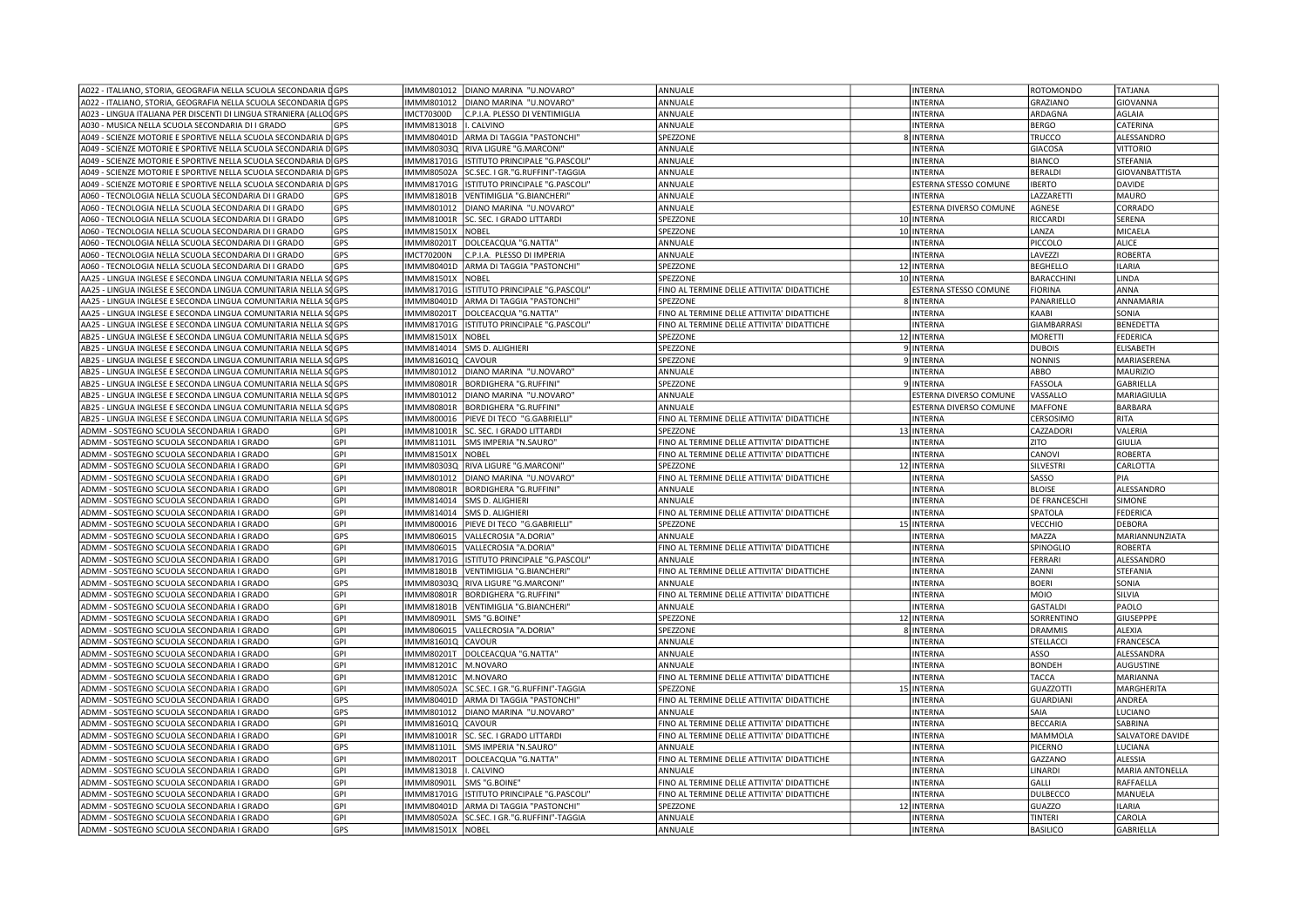| A022 - ITALIANO, STORIA, GEOGRAFIA NELLA SCUOLA SECONDARIA DGPS   |            | IMMM801012        | DIANO MARINA "U.NOVARO"            | ANNUALE                                               | <b>INTERNA</b>         | ROTOMONDO        | TATJANA                |
|-------------------------------------------------------------------|------------|-------------------|------------------------------------|-------------------------------------------------------|------------------------|------------------|------------------------|
| A022 - ITALIANO, STORIA, GEOGRAFIA NELLA SCUOLA SECONDARIA DGPS   |            | IMMM801012        | DIANO MARINA "U.NOVARO"            | ANNUALE                                               | <b>INTERNA</b>         | GRAZIANO         | GIOVANNA               |
| A023 - LINGUA ITALIANA PER DISCENTI DI LINGUA STRANIERA (ALLOCGPS |            | IMCT70300D        | C.P.I.A. PLESSO DI VENTIMIGLIA     | ANNUALE                                               | <b>INTERNA</b>         | ARDAGNA          | <b>AGLAIA</b>          |
| A030 - MUSICA NELLA SCUOLA SECONDARIA DI I GRADO                  | <b>GPS</b> | IMMM813018        | . CALVINO                          | ANNUALE                                               | <b>INTERNA</b>         | <b>BERGO</b>     | CATERINA               |
| A049 - SCIENZE MOTORIE E SPORTIVE NELLA SCUOLA SECONDARIA D GPS   |            | IMMM80401D        | ARMA DI TAGGIA "PASTONCHI"         | SPEZZONE                                              | 8 INTERNA              | TRUCCO           | ALESSANDRO             |
| A049 - SCIENZE MOTORIE E SPORTIVE NELLA SCUOLA SECONDARIA DIGPS   |            | IMMM80303Q        | RIVA LIGURE "G.MARCONI"            | ANNUALE                                               | <b>INTERNA</b>         | <b>GIACOSA</b>   | <b>VITTORIO</b>        |
| A049 - SCIENZE MOTORIE E SPORTIVE NELLA SCUOLA SECONDARIA DOGPS   |            | IMMM81701G        | ISTITUTO PRINCIPALE "G.PASCOLI"    | ANNUALE                                               | <b>INTERNA</b>         | <b>BIANCO</b>    | STEFANIA               |
| A049 - SCIENZE MOTORIE E SPORTIVE NELLA SCUOLA SECONDARIA DGPS    |            | <b>IMMM80502A</b> | SC.SEC. I GR."G.RUFFINI"-TAGGIA    | ANNUALE                                               | <b>INTERNA</b>         | BERALDI          | <b>GIOVANBATTISTA</b>  |
| A049 - SCIENZE MOTORIE E SPORTIVE NELLA SCUOLA SECONDARIA DOGPS   |            | IMMM81701G        | ISTITUTO PRINCIPALE "G.PASCOLI"    | ANNUALE                                               | ESTERNA STESSO COMUNE  | <b>IBERTO</b>    | DAVIDE                 |
| A060 - TECNOLOGIA NELLA SCUOLA SECONDARIA DI I GRADO              | <b>GPS</b> | IMMM81801B        | VENTIMIGLIA "G.BIANCHERI"          | ANNUALE                                               | <b>INTERNA</b>         | LAZZARETTI       | MAURO                  |
| A060 - TECNOLOGIA NELLA SCUOLA SECONDARIA DI I GRADO              | GPS        | IMMM801012        | DIANO MARINA "U.NOVARO"            | ANNUALE                                               | ESTERNA DIVERSO COMUNE | AGNESE           | CORRADO                |
| A060 - TECNOLOGIA NELLA SCUOLA SECONDARIA DI I GRADO              | GPS        | IMMM81001R        | SC. SEC. I GRADO LITTARDI          | SPEZZONE                                              |                        | RICCARDI         | SERENA                 |
|                                                                   |            |                   |                                    |                                                       | 10 INTERNA             |                  |                        |
| A060 - TECNOLOGIA NELLA SCUOLA SECONDARIA DI I GRADO              | GPS        | IMMM81501X        | NOBEL                              | SPEZZONE                                              | 10 INTERNA             | LANZA            | MICAELA                |
| A060 - TECNOLOGIA NELLA SCUOLA SECONDARIA DI I GRADO              | GPS        | IMMM80201T        | DOLCEACQUA "G.NATTA"               | ANNUALE                                               | <b>INTERNA</b>         | PICCOLO          | <b>ALICE</b>           |
| A060 - TECNOLOGIA NELLA SCUOLA SECONDARIA DI I GRADO              | GPS        | <b>IMCT70200N</b> | C.P.I.A. PLESSO DI IMPERIA         | ANNUALE                                               | <b>INTERNA</b>         | LAVEZZI          | ROBERTA                |
| A060 - TECNOLOGIA NELLA SCUOLA SECONDARIA DI I GRADO              | GPS        | IMMM80401D        | ARMA DI TAGGIA "PASTONCHI"         | SPEZZONE                                              | 12 INTERNA             | <b>BEGHELLO</b>  | <b>ILARIA</b>          |
| AA25 - LINGUA INGLESE E SECONDA LINGUA COMUNITARIA NELLA SOGPS    |            | IMMM81501X        | <b>NOBEL</b>                       | SPEZZONE                                              | 10 INTERNA             | <b>BARACCHIN</b> | LINDA                  |
| AA25 - LINGUA INGLESE E SECONDA LINGUA COMUNITARIA NELLA SOGPS    |            | IMMM81701G        | ISTITUTO PRINCIPALE "G.PASCOLI"    | FINO AL TERMINE DELLE ATTIVITA' DIDATTICHE            | ESTERNA STESSO COMUNE  | <b>FIORINA</b>   | ANNA                   |
| AA25 - LINGUA INGLESE E SECONDA LINGUA COMUNITARIA NELLA SOGPS    |            | IMMM80401D        | ARMA DI TAGGIA "PASTONCHI"         | SPEZZONE                                              | 8 INTERNA              | PANARIELLO       | ANNAMARIA              |
| AA25 - LINGUA INGLESE E SECONDA LINGUA COMUNITARIA NELLA SOGPS    |            | IMMM80201T        | DOLCEACQUA "G.NATTA"               | FINO AL TERMINE DELLE ATTIVITA' DIDATTICHE            | <b>INTERNA</b>         | KAABI            | SONIA                  |
| AA25 - LINGUA INGLESE E SECONDA LINGUA COMUNITARIA NELLA SOGPS    |            | IMMM81701G        | ISTITUTO PRINCIPALE "G.PASCOLI"    | FINO AL TERMINE DELLE ATTIVITA' DIDATTICHE            | <b>INTERNA</b>         | GIAMBARRASI      | <b>BENEDETTA</b>       |
| AB25 - LINGUA INGLESE E SECONDA LINGUA COMUNITARIA NELLA SOGPS    |            | IMMM81501X        | NOBEL                              | SPEZZONE                                              | 12 INTERNA             | MORETTI          | FEDERICA               |
| AB25 - LINGUA INGLESE E SECONDA LINGUA COMUNITARIA NELLA SOGPS    |            | IMMM814014        | SMS D. ALIGHIERI                   | SPEZZONE                                              | 9 INTERNA              | <b>DUBOIS</b>    | ELISABETH              |
| AB25 - LINGUA INGLESE E SECONDA LINGUA COMUNITARIA NELLA SOGPS    |            | IMMM81601Q        | CAVOUR                             | SPEZZONE                                              | 9 INTERNA              | <b>NONNIS</b>    | MARIASERENA            |
| AB25 - LINGUA INGLESE E SECONDA LINGUA COMUNITARIA NELLA SOGPS    |            | IMMM801012        | DIANO MARINA "U.NOVARO"            | ANNUALE                                               | <b>INTERNA</b>         | ABBO             | MAURIZIO               |
| AB25 - LINGUA INGLESE E SECONDA LINGUA COMUNITARIA NELLA SOGPS    |            | IMMM80801R        | <b>BORDIGHERA "G.RUFFINI"</b>      | SPEZZONE                                              | 9 INTERNA              | FASSOLA          | GABRIELLA              |
| AB25 - LINGUA INGLESE E SECONDA LINGUA COMUNITARIA NELLA SOGPS    |            | IMMM801012        | DIANO MARINA "U.NOVARO"            | ANNUALE                                               | ESTERNA DIVERSO COMUNE | VASSALLO         | MARIAGIULIA            |
| AB25 - LINGUA INGLESE E SECONDA LINGUA COMUNITARIA NELLA SOGPS    |            | IMMM80801R        | BORDIGHERA "G.RUFFINI"             | ANNUALE                                               | ESTERNA DIVERSO COMUNE | <b>MAFFONE</b>   | BARBARA                |
| AB25 - LINGUA INGLESE E SECONDA LINGUA COMUNITARIA NELLA SOGPS    |            | IMMM800016        | PIEVE DI TECO "G.GABRIELLI'        | FINO AL TERMINE DELLE ATTIVITA' DIDATTICHE            | INTERNA                | CERSOSIMO        | RITA                   |
| ADMM - SOSTEGNO SCUOLA SECONDARIA I GRADO                         | GPI        | IMMM81001R        | SC. SEC. I GRADO LITTARDI          | SPEZZONE                                              | 13 INTERNA             | CAZZADORI        | VALERIA                |
| ADMM - SOSTEGNO SCUOLA SECONDARIA I GRADO                         | GPI        | IMMM81101L        | SMS IMPERIA "N.SAURO"              | FINO AL TERMINE DELLE ATTIVITA' DIDATTICHE            | <b>INTERNA</b>         | ZITO             | GIULIA                 |
| ADMM - SOSTEGNO SCUOLA SECONDARIA I GRADO                         | GPI        | IMMM81501X        | NOBEL                              | FINO AL TERMINE DELLE ATTIVITA' DIDATTICHE            | <b>INTERNA</b>         | CANOVI           | ROBERTA                |
| ADMM - SOSTEGNO SCUOLA SECONDARIA I GRADO                         | GPI        | IMMM80303Q        | RIVA LIGURE "G.MARCONI"            | SPEZZONE                                              | 12 INTERNA             | <b>SILVESTRI</b> | CARLOTTA               |
|                                                                   |            |                   |                                    |                                                       |                        |                  |                        |
| ADMM - SOSTEGNO SCUOLA SECONDARIA I GRADO                         | GPI        | IMMM801012        | DIANO MARINA "U.NOVARO"            | FINO AL TERMINE DELLE ATTIVITA' DIDATTICHE            | <b>INTERNA</b>         | SASSO            | PIA                    |
| ADMM - SOSTEGNO SCUOLA SECONDARIA I GRADO                         | GPI        | IMMM80801R        | <b>BORDIGHERA "G.RUFFINI"</b>      | ANNUALE                                               | <b>INTERNA</b>         | <b>BLOISE</b>    | ALESSANDRO             |
| ADMM - SOSTEGNO SCUOLA SECONDARIA I GRADO                         | GPI        | IMMM814014        | <b>SMS D. ALIGHIERI</b>            | ANNUALE                                               | <b>INTERNA</b>         | DE FRANCESCHI    | <b>SIMONE</b>          |
| ADMM - SOSTEGNO SCUOLA SECONDARIA I GRADO                         | GPI        | IMMM814014        | <b>SMS D. ALIGHIERI</b>            | FINO AL TERMINE DELLE ATTIVITA' DIDATTICHE            | <b>INTERNA</b>         | SPATOLA          | FEDERICA               |
| ADMM - SOSTEGNO SCUOLA SECONDARIA I GRADO                         | GPI        | IMMM800016        | PIEVE DI TECO "G.GABRIELLI"        | SPEZZONE                                              | 15 INTERNA             | VECCHIO          | DEBORA                 |
| ADMM - SOSTEGNO SCUOLA SECONDARIA I GRADO                         | GPS        | IMMM806015        | VALLECROSIA "A.DORIA'              | ANNUALE                                               | <b>INTERNA</b>         | MAZZA            | MARIANNUNZIATA         |
| ADMM - SOSTEGNO SCUOLA SECONDARIA I GRADO                         | GPI        | IMMM806015        | VALLECROSIA "A.DORIA"              | FINO AL TERMINE DELLE ATTIVITA' DIDATTICHE            | <b>INTERNA</b>         | SPINOGLIO        | ROBERTA                |
| ADMM - SOSTEGNO SCUOLA SECONDARIA I GRADO                         | GPI        | IMMM81701G        | ISTITUTO PRINCIPALE "G.PASCOLI"    | ANNUALE                                               | <b>INTERNA</b>         | FERRARI          | ALESSANDRO             |
| ADMM - SOSTEGNO SCUOLA SECONDARIA I GRADO                         | GPI        | IMMM81801B        | VENTIMIGLIA "G.BIANCHERI"          | FINO AL TERMINE DELLE ATTIVITA' DIDATTICHE            | <b>INTERNA</b>         | ZANNI            | STEFANIA               |
| ADMM - SOSTEGNO SCUOLA SECONDARIA I GRADO                         | GPS        |                   | IMMM80303Q RIVA LIGURE "G.MARCONI" | ANNUALE                                               | <b>INTERNA</b>         | <b>BOERI</b>     | SONIA                  |
| ADMM - SOSTEGNO SCUOLA SECONDARIA I GRADO                         | GPI        | IMMM80801R        | <b>BORDIGHERA "G.RUFFINI"</b>      | FINO AL TERMINE DELLE ATTIVITA' DIDATTICHE            | <b>INTERNA</b>         | MOIO             | SILVIA                 |
| ADMM - SOSTEGNO SCUOLA SECONDARIA I GRADO                         | GPI        | IMMM81801B        | VENTIMIGLIA "G.BIANCHERI"          | ANNUALE                                               | <b>INTERNA</b>         | <b>GASTALDI</b>  | PAOLO                  |
| ADMM - SOSTEGNO SCUOLA SECONDARIA I GRADO                         | GPI        | IMMM80901L        | SMS "G.BOINE"                      | SPEZZONE                                              | 12 INTERNA             | SORRENTINO       | GIUSEPPPE              |
| ADMM - SOSTEGNO SCUOLA SECONDARIA I GRADO                         | GPI        | IMMM806015        | VALLECROSIA "A.DORIA"              | SPEZZONE                                              | 8 INTERNA              | <b>DRAMMIS</b>   | ALEXIA                 |
| ADMM - SOSTEGNO SCUOLA SECONDARIA I GRADO                         | GPI        | IMMM81601Q        | CAVOUR                             | ANNUALE                                               | <b>INTERNA</b>         | STELLACCI        | FRANCESCA              |
| ADMM - SOSTEGNO SCUOLA SECONDARIA I GRADO                         | GPI        | IMMM80201T        | DOLCEACQUA "G.NATTA"               | ANNUALE                                               | <b>INTERNA</b>         | ASSO             | ALESSANDRA             |
| ADMM - SOSTEGNO SCUOLA SECONDARIA I GRADO                         | GPI        | IMMM81201C        | M.NOVARO                           | ANNUALE                                               | <b>INTERNA</b>         | <b>BONDEH</b>    | AUGUSTINE              |
| ADMM - SOSTEGNO SCUOLA SECONDARIA I GRADO                         | GPI        | <b>IMMM81201C</b> | M.NOVARO                           | FINO AL TERMINE DELLE ATTIVITA' DIDATTICHE            | <b>INTERNA</b>         | TACCA            | MARIANNA               |
| ADMM - SOSTEGNO SCUOLA SECONDARIA I GRADO                         | GPI        | <b>IMMM80502A</b> | SC.SEC. I GR."G.RUFFINI"-TAGGIA    | SPEZZONE                                              | 15 INTERNA             | <b>GUAZZOTTI</b> | MARGHERITA             |
| ADMM - SOSTEGNO SCUOLA SECONDARIA I GRADO                         | GPS        | IMMM80401D        | ARMA DI TAGGIA "PASTONCHI"         | FINO AL TERMINE DELLE ATTIVITA' DIDATTICHE            | <b>INTERNA</b>         | <b>GUARDIANI</b> | ANDREA                 |
| ADMM - SOSTEGNO SCUOLA SECONDARIA I GRADO                         | GPS        | IMMM801012        | DIANO MARINA "U.NOVARO"            | ANNUALE                                               | <b>INTERNA</b>         | SAIA             | LUCIANO                |
| ADMM - SOSTEGNO SCUOLA SECONDARIA I GRADO                         | GPI        | IMMM81601Q CAVOUR |                                    | FINO AL TERMINE DELLE ATTIVITA' DIDATTICHE            | <b>INTERNA</b>         | <b>BECCARIA</b>  | SABRINA                |
|                                                                   | GPI        |                   |                                    |                                                       |                        |                  |                        |
| ADMM - SOSTEGNO SCUOLA SECONDARIA I GRADO                         | GPS        | IMMM81001R        | SC. SEC. I GRADO LITTARDI          | FINO AL TERMINE DELLE ATTIVITA' DIDATTICHE<br>ANNUALE | <b>INTERNA</b>         | MAMMOLA          | SALVATORE DAVIDE       |
| ADMM - SOSTEGNO SCUOLA SECONDARIA I GRADO                         |            | <b>IMMM81101L</b> | SMS IMPERIA "N.SAURO"              |                                                       | <b>INTERNA</b>         | PICERNO          | LUCIANA                |
| ADMM - SOSTEGNO SCUOLA SECONDARIA I GRADO                         | GPI        | IMMM80201T        | DOLCEACQUA "G.NATTA"               | FINO AL TERMINE DELLE ATTIVITA' DIDATTICHE            | <b>INTERNA</b>         | GAZZANO          | <b>ALESSIA</b>         |
| ADMM - SOSTEGNO SCUOLA SECONDARIA I GRADO                         | GPI        | IMMM813018        | . CALVINO                          | ANNUALE                                               | <b>INTERNA</b>         | LINARDI          | <b>MARIA ANTONELLA</b> |
| ADMM - SOSTEGNO SCUOLA SECONDARIA I GRADO                         | GPI        | IMMM80901L        | SMS "G.BOINE"                      | FINO AL TERMINE DELLE ATTIVITA' DIDATTICHE            | <b>INTERNA</b>         | GALLI            | RAFFAELLA              |
| ADMM - SOSTEGNO SCUOLA SECONDARIA I GRADO                         | GPI        | IMMM81701G        | ISTITUTO PRINCIPALE "G.PASCOLI"    | FINO AL TERMINE DELLE ATTIVITA' DIDATTICHE            | <b>INTERNA</b>         | DULBECCO         | MANUELA                |
| ADMM - SOSTEGNO SCUOLA SECONDARIA I GRADO                         | GPI        | IMMM80401D        | ARMA DI TAGGIA "PASTONCHI"         | SPEZZONE                                              | 12 INTERNA             | <b>GUAZZO</b>    | <b>ILARIA</b>          |
| ADMM - SOSTEGNO SCUOLA SECONDARIA I GRADO                         | GPI        | <b>MMM80502A</b>  | SC.SEC. I GR."G.RUFFINI"-TAGGIA    | ANNUALE                                               | <b>INTERNA</b>         | TINTERI          | CAROLA                 |
| ADMM - SOSTEGNO SCUOLA SECONDARIA I GRADO                         | GPS        | IMMM81501X NOBEL  |                                    | ANNUALE                                               | <b>INTERNA</b>         | <b>BASILICO</b>  | GABRIELLA              |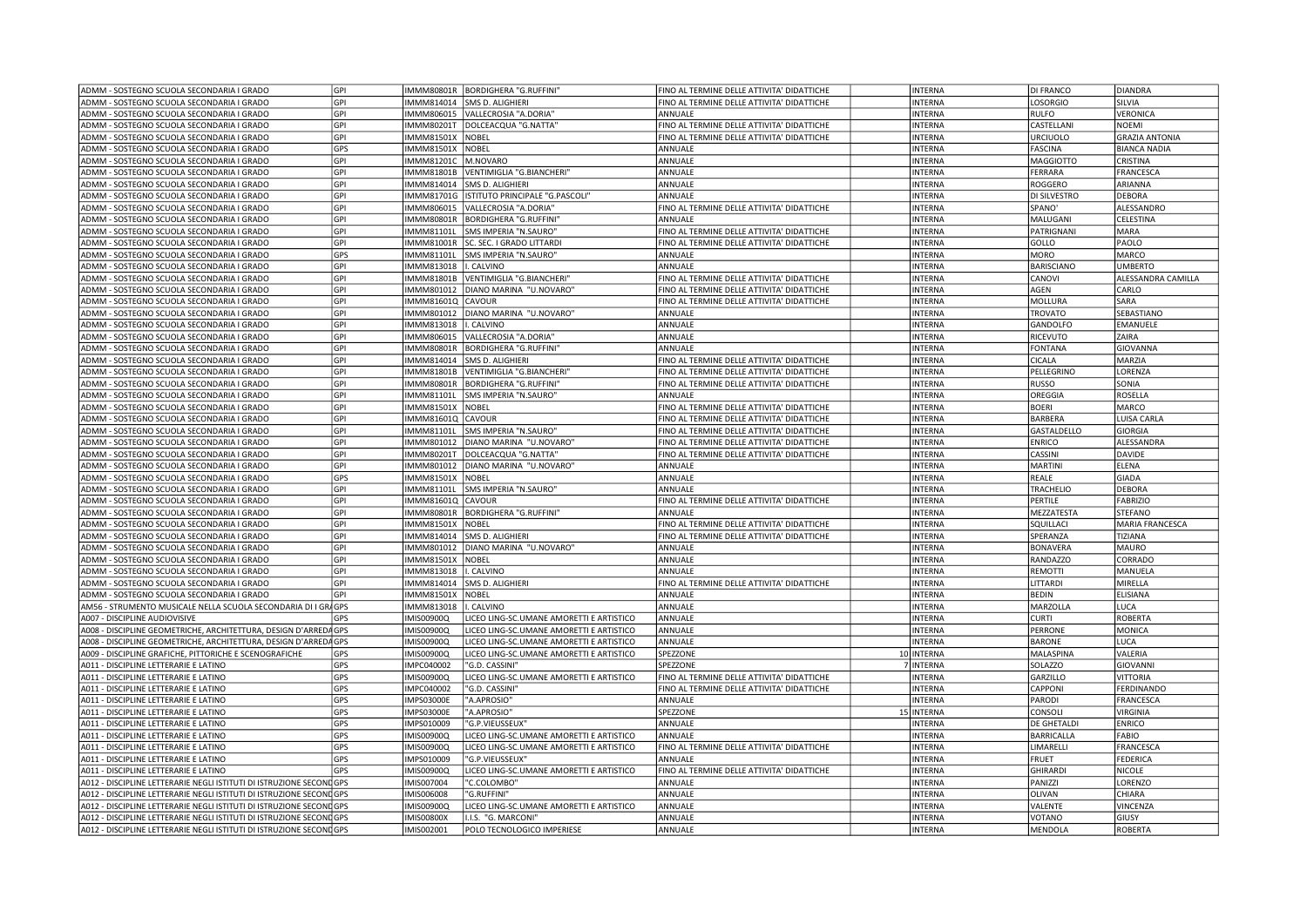|                                                                                                                                            | <b>GPI</b> | IMMM80801R                      | <b>BORDIGHERA "G.RUFFINI"</b>                     | FINO AL TERMINE DELLE ATTIVITA' DIDATTICHE | <b>INTERNA</b>            | <b>DI FRANCO</b>         | <b>DIANDRA</b>          |
|--------------------------------------------------------------------------------------------------------------------------------------------|------------|---------------------------------|---------------------------------------------------|--------------------------------------------|---------------------------|--------------------------|-------------------------|
| ADMM - SOSTEGNO SCUOLA SECONDARIA I GRADO                                                                                                  | GPI        | IMMM814014                      | SMS D. ALIGHIERI                                  | FINO AL TERMINE DELLE ATTIVITA' DIDATTICHE | <b>INTERNA</b>            | <b>LOSORGIO</b>          | SILVIA                  |
| ADMM - SOSTEGNO SCUOLA SECONDARIA I GRADO                                                                                                  | GPI        | IMMM806015                      | VALLECROSIA "A.DORIA"                             | ANNUALE                                    | INTERNA                   | <b>RULFO</b>             | VERONICA                |
| ADMM - SOSTEGNO SCUOLA SECONDARIA I GRADO                                                                                                  | GPI        | IMMM80201T                      | DOLCEACQUA "G.NATTA"                              | FINO AL TERMINE DELLE ATTIVITA' DIDATTICHE | <b>INTERNA</b>            | CASTELLANI               | <b>NOEMI</b>            |
| ADMM - SOSTEGNO SCUOLA SECONDARIA I GRADO                                                                                                  | GPI        | IMMM81501X                      | NOBEL                                             | FINO AL TERMINE DELLE ATTIVITA' DIDATTICHE | INTERNA                   | <b>URCIUOLO</b>          | <b>GRAZIA ANTONIA</b>   |
| ADMM - SOSTEGNO SCUOLA SECONDARIA I GRADO                                                                                                  | GPS        | IMMM81501X                      | NOBEL                                             | ANNUALE                                    | INTERNA                   | <b>FASCINA</b>           | <b>BIANCA NADIA</b>     |
| ADMM - SOSTEGNO SCUOLA SECONDARIA I GRADO                                                                                                  | GPI        | <b>IMMM81201C</b>               | M.NOVARO                                          | ANNUALE                                    | <b>INTERNA</b>            | <b>MAGGIOTTO</b>         | CRISTINA                |
| ADMM - SOSTEGNO SCUOLA SECONDARIA I GRADO                                                                                                  | GPI        | IMMM81801B                      | VENTIMIGLIA "G.BIANCHERI"                         | ANNUALE                                    | INTERNA                   | <b>FERRARA</b>           | FRANCESCA               |
| ADMM - SOSTEGNO SCUOLA SECONDARIA I GRADO                                                                                                  | GPI        | IMMM814014                      | SMS D. ALIGHIERI                                  | ANNUALE                                    | INTERNA                   | ROGGERO                  | ARIANNA                 |
| ADMM - SOSTEGNO SCUOLA SECONDARIA I GRADO                                                                                                  | GPI        | IMMM81701G                      | ISTITUTO PRINCIPALE "G.PASCOLI"                   | ANNUALE                                    | <b>INTERNA</b>            | DI SILVESTRO             | <b>DEBORA</b>           |
| ADMM - SOSTEGNO SCUOLA SECONDARIA I GRADO                                                                                                  | <b>GPI</b> | IMMM806015                      | VALLECROSIA "A.DORIA"                             | FINO AL TERMINE DELLE ATTIVITA' DIDATTICHE | INTERNA                   | SPANO'                   | ALESSANDRO              |
| ADMM - SOSTEGNO SCUOLA SECONDARIA I GRADO                                                                                                  | GPI        | IMMM80801F                      | BORDIGHERA "G.RUFFINI'                            | ANNUALE                                    | INTERNA                   | MALUGAN                  | CELESTINA               |
| ADMM - SOSTEGNO SCUOLA SECONDARIA I GRADO                                                                                                  | GPI        | IMMM81101L                      | SMS IMPERIA "N.SAURO"                             | FINO AL TERMINE DELLE ATTIVITA' DIDATTICHE | <b>INTERNA</b>            | PATRIGNANI               | MARA                    |
| ADMM - SOSTEGNO SCUOLA SECONDARIA I GRADO                                                                                                  | GPI        | IMMM81001R                      | SC. SEC. I GRADO LITTARDI                         | FINO AL TERMINE DELLE ATTIVITA' DIDATTICHE | INTERNA                   | GOLLO                    | PAOLO                   |
| ADMM - SOSTEGNO SCUOLA SECONDARIA I GRADO                                                                                                  | GPS        | IMMM81101L                      | SMS IMPERIA "N.SAURO"                             | ANNUALE                                    | <b>INTERNA</b>            | <b>MORO</b>              | MARCO                   |
|                                                                                                                                            |            |                                 |                                                   |                                            |                           |                          |                         |
| ADMM - SOSTEGNO SCUOLA SECONDARIA I GRADO                                                                                                  | <b>GPI</b> | IMMM813018                      | . CALVINO                                         | ANNUALE                                    | <b>INTERNA</b>            | <b>BARISCIANO</b>        | <b>UMBERTO</b>          |
| ADMM - SOSTEGNO SCUOLA SECONDARIA I GRADO                                                                                                  | GPI        | <b>IMMM81801B</b>               | VENTIMIGLIA "G.BIANCHERI'                         | FINO AL TERMINE DELLE ATTIVITA' DIDATTICHE | INTERNA                   | CANOVI                   | ALESSANDRA CAMILLA      |
| ADMM - SOSTEGNO SCUOLA SECONDARIA I GRADO                                                                                                  | GPI        | IMMM801012                      | DIANO MARINA "U.NOVARO'                           | FINO AL TERMINE DELLE ATTIVITA' DIDATTICHE | INTERNA                   | AGEN                     | CARLO                   |
| ADMM - SOSTEGNO SCUOLA SECONDARIA I GRADO                                                                                                  | GPI        | IMMM81601Q                      | CAVOUR                                            | FINO AL TERMINE DELLE ATTIVITA' DIDATTICHE | <b>INTERNA</b>            | MOLLURA                  | SARA                    |
| ADMM - SOSTEGNO SCUOLA SECONDARIA I GRADO                                                                                                  | GPI        | IMMM801012                      | DIANO MARINA "U.NOVARO'                           | ANNUALE                                    | INTERNA                   | <b>TROVATO</b>           | SEBASTIANO              |
| ADMM - SOSTEGNO SCUOLA SECONDARIA I GRADO                                                                                                  | GPI        | IMMM813018                      | . CALVINO                                         | ANNUALE                                    | INTERNA                   | GANDOLFO                 | <b>EMANUELE</b>         |
| ADMM - SOSTEGNO SCUOLA SECONDARIA I GRADO                                                                                                  | GPI        | IMMM806015                      | VALLECROSIA "A.DORIA"                             | ANNUALE                                    | <b>INTERNA</b>            | RICEVUTO                 | ZAIRA                   |
| ADMM - SOSTEGNO SCUOLA SECONDARIA I GRADO                                                                                                  | GPI        | IMMM80801R                      | BORDIGHERA "G.RUFFINI"                            | ANNUALE                                    | <b>INTERNA</b>            | <b>FONTANA</b>           | GIOVANNA                |
| ADMM - SOSTEGNO SCUOLA SECONDARIA I GRADO                                                                                                  | GPI        | IMMM814014                      | SMS D. ALIGHIERI                                  | FINO AL TERMINE DELLE ATTIVITA' DIDATTICHE | INTERNA                   | <b>CICALA</b>            | MARZIA                  |
| ADMM - SOSTEGNO SCUOLA SECONDARIA I GRADO                                                                                                  | GPI        | IMMM81801B                      | VENTIMIGLIA "G.BIANCHERI"                         | FINO AL TERMINE DELLE ATTIVITA' DIDATTICHE | <b>INTERNA</b>            | PELLEGRINO               | LORENZA                 |
| ADMM - SOSTEGNO SCUOLA SECONDARIA I GRADO                                                                                                  | GPI        | IMMM80801R                      | BORDIGHERA "G.RUFFINI"                            | FINO AL TERMINE DELLE ATTIVITA' DIDATTICHE | INTERNA                   | <b>RUSSO</b>             | SONIA                   |
| ADMM - SOSTEGNO SCUOLA SECONDARIA I GRADO                                                                                                  | GPI        | IMMM81101L                      | SMS IMPERIA "N.SAURO"                             | ANNUALE                                    | <b>INTERNA</b>            | OREGGIA                  | ROSELLA                 |
| ADMM - SOSTEGNO SCUOLA SECONDARIA I GRADO                                                                                                  | GPI        | IMMM81501X                      | NOBEL                                             | FINO AL TERMINE DELLE ATTIVITA' DIDATTICHE | <b>INTERNA</b>            | <b>BOERI</b>             | MARCO                   |
| ADMM - SOSTEGNO SCUOLA SECONDARIA I GRADO                                                                                                  | GPI        | IMMM81601Q                      | CAVOUR                                            | FINO AL TERMINE DELLE ATTIVITA' DIDATTICHE | INTERNA                   | <b>BARBERA</b>           | LUISA CARLA             |
| ADMM - SOSTEGNO SCUOLA SECONDARIA I GRADO                                                                                                  | GPI        | IMMM81101L                      | SMS IMPERIA "N.SAURO"                             | FINO AL TERMINE DELLE ATTIVITA' DIDATTICHE | INTERNA                   | GASTALDELLO              | <b>GIORGIA</b>          |
| ADMM - SOSTEGNO SCUOLA SECONDARIA I GRADO                                                                                                  | GPI        | IMMM801012                      | DIANO MARINA "U.NOVARO'                           | FINO AL TERMINE DELLE ATTIVITA' DIDATTICHE | <b>INTERNA</b>            | <b>ENRICO</b>            | ALESSANDRA              |
| ADMM - SOSTEGNO SCUOLA SECONDARIA I GRADO                                                                                                  | GPI        | IMMM80201T                      | DOLCEACQUA "G.NATTA'                              | FINO AL TERMINE DELLE ATTIVITA' DIDATTICHE | INTERNA                   | CASSINI                  | <b>DAVIDE</b>           |
| ADMM - SOSTEGNO SCUOLA SECONDARIA I GRADO                                                                                                  | GPI        | IMMM801012                      | DIANO MARINA "U.NOVARO'                           | ANNUALE                                    | <b>INTERNA</b>            | <b>MARTINI</b>           | <b>ELENA</b>            |
| ADMM - SOSTEGNO SCUOLA SECONDARIA I GRADO                                                                                                  | GPS        |                                 | NOBEL                                             |                                            |                           | REALE                    | <b>GIADA</b>            |
|                                                                                                                                            |            | IMMM81501X                      |                                                   | ANNUALE                                    | <b>INTERNA</b>            |                          |                         |
| ADMM - SOSTEGNO SCUOLA SECONDARIA I GRADO                                                                                                  | GPI        | IMMM81101L                      | SMS IMPERIA "N.SAURO"                             | ANNUALE                                    | <b>INTERNA</b>            | <b>TRACHELIO</b>         | <b>DEBORA</b>           |
| ADMM - SOSTEGNO SCUOLA SECONDARIA I GRADO                                                                                                  | GPI        | IMMM81601Q                      | CAVOUR                                            | FINO AL TERMINE DELLE ATTIVITA' DIDATTICHE | INTERNA                   | PERTILE                  | <b>FABRIZIO</b>         |
| ADMM - SOSTEGNO SCUOLA SECONDARIA I GRADO                                                                                                  | GPI        | IMMM80801R                      | <b>BORDIGHERA "G.RUFFINI"</b>                     | ANNUALE                                    | <b>INTERNA</b>            | MEZZATESTA               | <b>STEFANO</b>          |
| ADMM - SOSTEGNO SCUOLA SECONDARIA I GRADO                                                                                                  | GPI        | IMMM81501X                      | NOBEL                                             | FINO AL TERMINE DELLE ATTIVITA' DIDATTICHE | INTERNA                   | SQUILLACI                | <b>MARIA FRANCESCA</b>  |
|                                                                                                                                            | GPI        | IMMM814014                      | SMS D. ALIGHIERI                                  | FINO AL TERMINE DELLE ATTIVITA' DIDATTICHE |                           |                          | TIZIANA                 |
| ADMM - SOSTEGNO SCUOLA SECONDARIA I GRADO                                                                                                  |            |                                 |                                                   |                                            | <b>INTERNA</b>            | SPERANZA                 |                         |
| ADMM - SOSTEGNO SCUOLA SECONDARIA I GRADO                                                                                                  | GPI        | IMMM801012                      | DIANO MARINA "U.NOVARO"                           | ANNUALE                                    | <b>INTERNA</b>            | <b>BONAVERA</b>          | MAURO                   |
| ADMM - SOSTEGNO SCUOLA SECONDARIA I GRADO                                                                                                  | GPI        | IMMM81501X                      | <b>VOBEL</b>                                      | ANNUALE                                    | <b>INTERNA</b>            | <b>RANDAZZO</b>          | CORRADO                 |
| ADMM - SOSTEGNO SCUOLA SECONDARIA I GRADO                                                                                                  | GPI        | IMMM813018                      | . CALVINO                                         | ANNUALE                                    | INTERNA                   | REMOTTI                  | <b>MANUELA</b>          |
| ADMM - SOSTEGNO SCUOLA SECONDARIA I GRADO                                                                                                  | GPI        | IMMM814014                      | SMS D. ALIGHIERI                                  | FINO AL TERMINE DELLE ATTIVITA' DIDATTICHE | <b>INTERNA</b>            | LITTARDI                 | MIRELLA                 |
| ADMM - SOSTEGNO SCUOLA SECONDARIA I GRADO                                                                                                  | GPI        | IMMM81501X                      | NOBEL                                             | ANNUALE                                    | INTERNA                   | <b>BEDIN</b>             | <b>ELISIANA</b>         |
| AM56 - STRUMENTO MUSICALE NELLA SCUOLA SECONDARIA DI I GRAGPS                                                                              |            | IMMM813018                      | . CALVINO                                         | ANNUALE                                    | <b>INTERNA</b>            | MARZOLLA                 | LUCA                    |
| A007 - DISCIPLINE AUDIOVISIVE                                                                                                              | GPS        | IMIS00900Q                      | ICEO LING-SC.UMANE AMORETTI E ARTISTICO           | ANNUALE                                    | <b>INTERNA</b>            | <b>CURTI</b>             | <b>ROBERTA</b>          |
| A008 - DISCIPLINE GEOMETRICHE, ARCHITETTURA, DESIGN D'ARREDAGPS                                                                            |            | IMIS00900Q                      | LICEO LING-SC.UMANE AMORETTI E ARTISTICO          | ANNUALE                                    | INTERNA                   | <b>PERRONE</b>           | <b>MONICA</b>           |
| A008 - DISCIPLINE GEOMETRICHE, ARCHITETTURA, DESIGN D'ARREDAGPS                                                                            |            | IMIS00900Q                      | LICEO LING-SC.UMANE AMORETTI E ARTISTICO          | ANNUALE                                    | INTERNA                   | <b>BARONE</b>            | LUCA                    |
|                                                                                                                                            |            |                                 |                                                   |                                            |                           |                          |                         |
| A009 - DISCIPLINE GRAFICHE, PITTORICHE E SCENOGRAFICHE                                                                                     | GPS        | IMIS00900Q                      | LICEO LING-SC.UMANE AMORETTI E ARTISTICO          | SPEZZONE                                   | 10 INTERNA                | MALASPINA                | VALERIA                 |
| A011 - DISCIPLINE LETTERARIE E LATINO                                                                                                      | GPS        | IMPC040002                      | "G.D. CASSINI"                                    | SPEZZONE                                   | 7 INTERNA                 | SOLAZZO                  | <b>GIOVANNI</b>         |
| A011 - DISCIPLINE LETTERARIE E LATINO                                                                                                      | GPS        | IMIS00900Q                      | LICEO LING-SC.UMANE AMORETTI E ARTISTICO          | FINO AL TERMINE DELLE ATTIVITA' DIDATTICHE | <b>INTERNA</b>            | GARZILLO                 | <b>VITTORIA</b>         |
| A011 - DISCIPLINE LETTERARIE E LATINO                                                                                                      | GPS        | IMPC040002                      | "G.D. CASSINI"                                    | FINO AL TERMINE DELLE ATTIVITA' DIDATTICHE | <b>INTERNA</b>            | CAPPONI                  | <b>FERDINANDO</b>       |
| A011 - DISCIPLINE LETTERARIE E LATINO                                                                                                      | GPS        | <b>IMPS03000E</b>               | "A.APROSIO"                                       | ANNUALE                                    | <b>INTERNA</b>            | PARODI                   | <b>FRANCESCA</b>        |
| A011 - DISCIPLINE LETTERARIE E LATINO                                                                                                      | GPS        | <b>IMPS03000E</b>               | "A.APROSIO"                                       | SPEZZONE                                   | 15 INTERNA                | CONSOLI                  | <b>VIRGINIA</b>         |
| A011 - DISCIPLINE LETTERARIE E LATINO                                                                                                      | GPS        | IMPS010009                      | "G.P.VIEUSSEUX"                                   | ANNUALE                                    | <b>INTERNA</b>            | <b>DE GHETALDI</b>       | <b>ENRICO</b>           |
| A011 - DISCIPLINE LETTERARIE E LATINO                                                                                                      | GPS        | IMIS00900Q                      | LICEO LING-SC.UMANE AMORETTI E ARTISTICO          | ANNUALE                                    | INTERNA                   | <b>BARRICALLA</b>        | FABIO                   |
| A011 - DISCIPLINE LETTERARIE E LATINO                                                                                                      | GPS        | IMIS00900Q                      | LICEO LING-SC.UMANE AMORETTI E ARTISTICO          | FINO AL TERMINE DELLE ATTIVITA' DIDATTICHE | <b>INTERNA</b>            | LIMARELLI                | FRANCESCA               |
| A011 - DISCIPLINE LETTERARIE E LATINO                                                                                                      | GPS        | IMPS010009                      | "G.P.VIEUSSEUX"                                   | ANNUALE                                    | <b>INTERNA</b>            | <b>FRUET</b>             | <b>FEDERICA</b>         |
| A011 - DISCIPLINE LETTERARIE E LATINO                                                                                                      | GPS        | IMIS00900Q                      | LICEO LING-SC.UMANE AMORETTI E ARTISTICO          | FINO AL TERMINE DELLE ATTIVITA' DIDATTICHE | INTERNA                   | <b>GHIRARDI</b>          | <b>NICOLE</b>           |
| A012 - DISCIPLINE LETTERARIE NEGLI ISTITUTI DI ISTRUZIONE SECONDGPS                                                                        |            | IMIS007004                      | "C.COLOMBO"                                       | ANNUALE                                    | <b>INTERNA</b>            | PANIZZI                  | LORENZO                 |
| A012 - DISCIPLINE LETTERARIE NEGLI ISTITUTI DI ISTRUZIONE SECONDGPS                                                                        |            | IMIS006008                      | "G.RUFFINI"                                       | ANNUALE                                    | INTERNA                   | OLIVAN                   | CHIARA                  |
| A012 - DISCIPLINE LETTERARIE NEGLI ISTITUTI DI ISTRUZIONE SECONDGPS                                                                        |            | <b>IMIS00900G</b>               | LICEO LING-SC.UMANE AMORETTI E ARTISTICO          | ANNUALE                                    | INTERNA                   | VALENTE                  | VINCENZA                |
| A012 - DISCIPLINE LETTERARIE NEGLI ISTITUTI DI ISTRUZIONE SECONDGPS<br>A012 - DISCIPLINE LETTERARIE NEGLI ISTITUTI DI ISTRUZIONE SECONDGPS |            | <b>IMIS00800X</b><br>IMIS002001 | I.I.S. "G. MARCONI"<br>POLO TECNOLOGICO IMPERIESE | ANNUALE<br>ANNUALE                         | INTERNA<br><b>INTERNA</b> | VOTANO<br><b>MENDOLA</b> | GIUSY<br><b>ROBERTA</b> |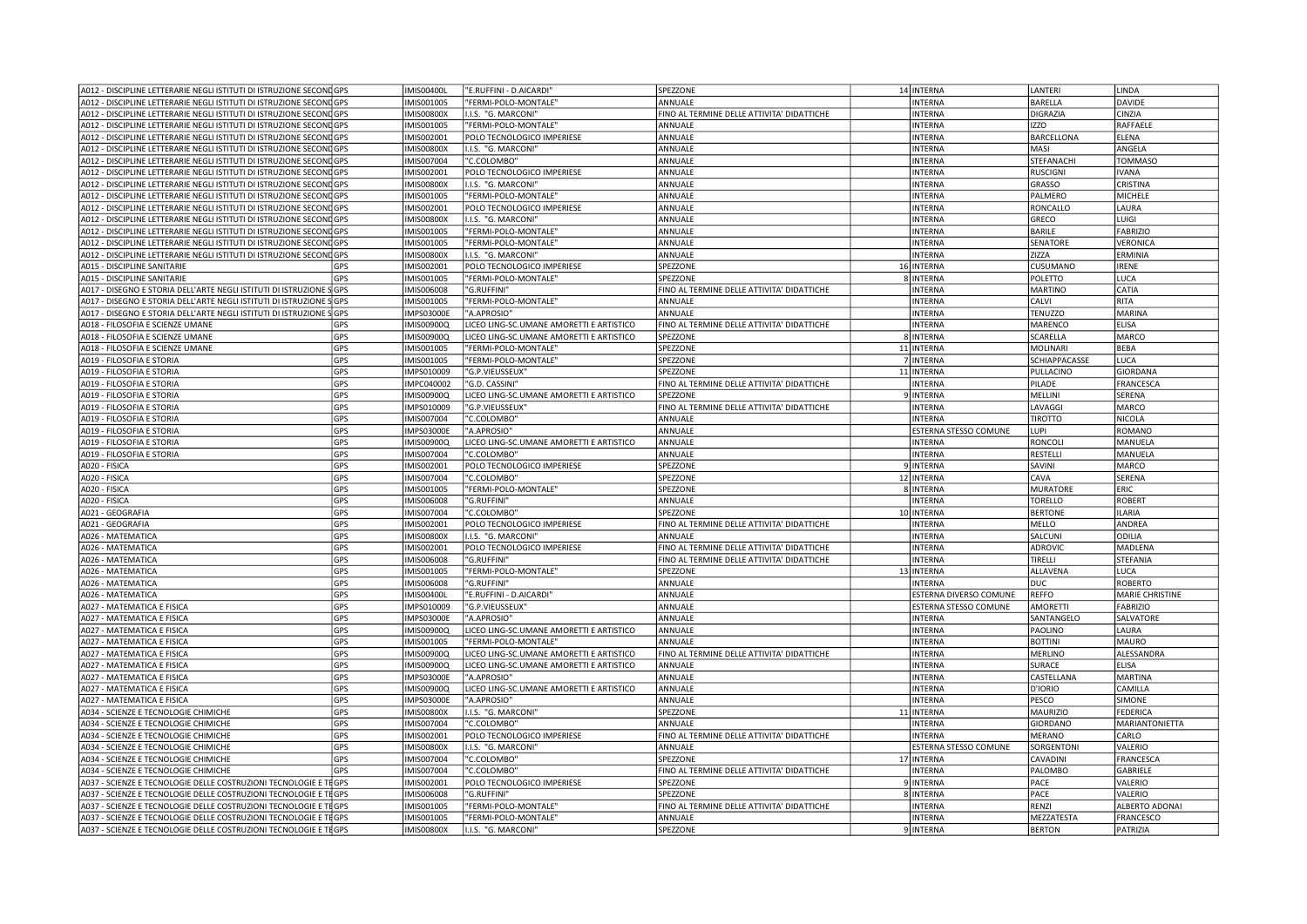| A012 - DISCIPLINE LETTERARIE NEGLI ISTITUTI DI ISTRUZIONE SECONDGPS | <b>IMIS00400L</b>        | "E.RUFFINI - D.AICARDI'                  | SPEZZONE                                   | 14 INTERNA             | LANTERI         | LINDA                  |
|---------------------------------------------------------------------|--------------------------|------------------------------------------|--------------------------------------------|------------------------|-----------------|------------------------|
| A012 - DISCIPLINE LETTERARIE NEGLI ISTITUTI DI ISTRUZIONE SECONDGPS | IMIS001005               | "FERMI-POLO-MONTALE'                     | ANNUALE                                    | <b>INTERNA</b>         | BARELLA         | <b>DAVIDE</b>          |
| A012 - DISCIPLINE LETTERARIE NEGLI ISTITUTI DI ISTRUZIONE SECONDGPS | <b>IMIS00800X</b>        | I.I.S. "G. MARCONI'                      | FINO AL TERMINE DELLE ATTIVITA' DIDATTICHE | <b>INTERNA</b>         | <b>DIGRAZIA</b> | CINZIA                 |
| A012 - DISCIPLINE LETTERARIE NEGLI ISTITUTI DI ISTRUZIONE SECONDGPS | IMIS001005               | "FERMI-POLO-MONTALE"                     | ANNUALE                                    | <b>INTERNA</b>         | <b>IZZO</b>     | RAFFAELE               |
| A012 - DISCIPLINE LETTERARIE NEGLI ISTITUTI DI ISTRUZIONE SECONDGPS | IMIS002001               | POLO TECNOLOGICO IMPERIESE               | ANNUALE                                    | <b>INTERNA</b>         | BARCELLONA      | ELENA                  |
| A012 - DISCIPLINE LETTERARIE NEGLI ISTITUTI DI ISTRUZIONE SECONDGPS | <b>IMIS00800X</b>        | I.I.S. "G. MARCONI"                      | ANNUALE                                    | <b>INTERNA</b>         | MASI            | ANGELA                 |
| A012 - DISCIPLINE LETTERARIE NEGLI ISTITUTI DI ISTRUZIONE SECONDGPS | IMIS007004               | 'C.COLOMBO"                              | ANNUALE                                    | <b>INTERNA</b>         | STEFANACHI      | TOMMASO                |
| A012 - DISCIPLINE LETTERARIE NEGLI ISTITUTI DI ISTRUZIONE SECONDGPS | IMIS002001               | POLO TECNOLOGICO IMPERIESE               | ANNUALE                                    | <b>INTERNA</b>         | <b>RUSCIGNI</b> | <b>IVANA</b>           |
| A012 - DISCIPLINE LETTERARIE NEGLI ISTITUTI DI ISTRUZIONE SECONDGPS | <b>IMIS00800X</b>        | I.I.S. "G. MARCONI'                      | ANNUALE                                    | <b>INTERNA</b>         | <b>GRASSO</b>   | CRISTINA               |
| A012 - DISCIPLINE LETTERARIE NEGLI ISTITUTI DI ISTRUZIONE SECONDGPS | IMIS001005               | "FERMI-POLO-MONTALE'                     | ANNUALE                                    | <b>INTERNA</b>         | PALMERO         | <b>MICHELE</b>         |
| A012 - DISCIPLINE LETTERARIE NEGLI ISTITUTI DI ISTRUZIONE SECONDGPS | IMIS002001               | POLO TECNOLOGICO IMPERIESE               | ANNUALE                                    | <b>INTERNA</b>         | RONCALLO        | LAURA                  |
| A012 - DISCIPLINE LETTERARIE NEGLI ISTITUTI DI ISTRUZIONE SECONDGPS | <b>IMIS00800X</b>        | I.I.S. "G. MARCONI"                      | ANNUALE                                    | <b>INTERNA</b>         | GRECO           | LUIGI                  |
| A012 - DISCIPLINE LETTERARIE NEGLI ISTITUTI DI ISTRUZIONE SECONDGPS | IMIS001005               | "FERMI-POLO-MONTALE                      | ANNUALE                                    | <b>INTERNA</b>         | <b>BARILE</b>   | <b>FABRIZIO</b>        |
| A012 - DISCIPLINE LETTERARIE NEGLI ISTITUTI DI ISTRUZIONE SECONDGPS | IMIS001005               | "FERMI-POLO-MONTALE'                     | ANNUALE                                    | <b>INTERNA</b>         | SENATORE        | VERONICA               |
| A012 - DISCIPLINE LETTERARIE NEGLI ISTITUTI DI ISTRUZIONE SECONDGPS | <b>IMIS00800X</b>        | I.I.S. "G. MARCONI'                      | ANNUALE                                    | <b>INTERNA</b>         | ZIZZA           | <b>ERMINIA</b>         |
| A015 - DISCIPLINE SANITARIE                                         | GPS<br>IMIS002001        | POLO TECNOLOGICO IMPERIESE               | SPEZZONE                                   | 16 INTERNA             | <b>CUSUMANO</b> | <b>IRENE</b>           |
| A015 - DISCIPLINE SANITARIE                                         | GPS<br>IMIS001005        | "FERMI-POLO-MONTALE'                     | SPEZZONE                                   | 8 INTERNA              | POLETTO         | LUCA                   |
| A017 - DISEGNO E STORIA DELL'ARTE NEGLI ISTITUTI DI ISTRUZIONE SGPS | IMIS006008               | 'G.RUFFINI'                              | FINO AL TERMINE DELLE ATTIVITA' DIDATTICHE | <b>INTERNA</b>         | <b>MARTINO</b>  | CATIA                  |
| A017 - DISEGNO E STORIA DELL'ARTE NEGLI ISTITUTI DI ISTRUZIONE SGPS | IMIS001005               | "FERMI-POLO-MONTALE"                     | ANNUALE                                    | <b>INTERNA</b>         | CALVI           | RITA                   |
| A017 - DISEGNO E STORIA DELL'ARTE NEGLI ISTITUTI DI ISTRUZIONE :    | <b>IMPS03000E</b><br>GPS | "A.APROSIO"                              | ANNUALE                                    | <b>INTERNA</b>         | TENUZZO         | <b>MARINA</b>          |
| A018 - FILOSOFIA E SCIENZE UMANE                                    | IMIS00900Q<br>GPS        | LICEO LING-SC.UMANE AMORETTI E ARTISTICO | FINO AL TERMINE DELLE ATTIVITA' DIDATTICHE | <b>INTERNA</b>         | <b>MARENCO</b>  | <b>ELISA</b>           |
| A018 - FILOSOFIA E SCIENZE UMANE                                    | IMIS00900Q<br>GPS        | LICEO LING-SC.UMANE AMORETTI E ARTISTICO | SPEZZONE                                   | 8 INTERNA              | SCARELLA        | <b>MARCO</b>           |
| A018 - FILOSOFIA E SCIENZE UMANE                                    | GPS<br>IMIS001005        | 'FERMI-POLO-MONTALE'                     | SPEZZONE                                   | 11 INTERNA             | MOLINARI        | <b>BEBA</b>            |
| A019 - FILOSOFIA E STORIA                                           | <b>GPS</b><br>IMIS001005 | "FERMI-POLO-MONTALE'                     | SPEZZONE                                   | 7 INTERNA              | SCHIAPPACASSE   | LUCA                   |
| A019 - FILOSOFIA E STORIA                                           | GPS<br>IMPS010009        | 'G.P.VIEUSSEUX"                          | SPEZZONE                                   | 11 INTERNA             | PULLACINO       | GIORDANA               |
| A019 - FILOSOFIA E STORIA                                           | GPS<br>IMPC040002        | 'G.D. CASSINI"                           | FINO AL TERMINE DELLE ATTIVITA' DIDATTICHE | <b>INTERNA</b>         | PILADE          | FRANCESCA              |
| A019 - FILOSOFIA E STORIA                                           | GPS<br>IMIS00900Q        | LICEO LING-SC.UMANE AMORETTI E ARTISTICO | SPEZZONE                                   | 9 INTERNA              | MELLINI         | SERENA                 |
| A019 - FILOSOFIA E STORIA                                           | GPS<br>IMPS010009        | 'G.P.VIEUSSEUX"                          | FINO AL TERMINE DELLE ATTIVITA' DIDATTICHE | <b>INTERNA</b>         | LAVAGGI         | <b>MARCO</b>           |
| A019 - FILOSOFIA E STORIA                                           | GPS<br>IMIS007004        | 'C.COLOMBO"                              | ANNUALE                                    | <b>INTERNA</b>         | <b>TIROTTO</b>  | NICOLA                 |
| A019 - FILOSOFIA E STORIA                                           | GPS<br><b>IMPS03000E</b> | "A.APROSIO"                              | ANNUALE                                    | ESTERNA STESSO COMUNE  | LUPI            | <b>ROMANO</b>          |
| A019 - FILOSOFIA E STORIA                                           | GPS<br>IMIS00900Q        | LICEO LING-SC.UMANE AMORETTI E ARTISTICO | ANNUALE                                    | <b>INTERNA</b>         | <b>RONCOLI</b>  | MANUELA                |
| A019 - FILOSOFIA E STORIA                                           | GPS<br>IMIS007004        | 'C.COLOMBO"                              | ANNUALE                                    | <b>INTERNA</b>         | <b>RESTELLI</b> | MANUELA                |
| A020 - FISICA                                                       | GPS<br>IMIS002001        | POLO TECNOLOGICO IMPERIESE               | SPEZZONE                                   | 9 INTERNA              | SAVINI          | MARCO                  |
| A020 - FISICA                                                       | GPS<br>IMIS007004        | 'C.COLOMBO"                              | SPEZZONE                                   | 12 INTERNA             | CAVA            | SERENA                 |
| A020 - FISICA                                                       | GPS<br>IMIS001005        | 'FERMI-POLO-MONTALE'                     | SPEZZONE                                   | 8 INTERNA              | <b>MURATORE</b> | ERIC                   |
| A020 - FISICA                                                       | GPS<br>IMIS006008        | 'G.RUFFINI"                              | ANNUALE                                    | <b>INTERNA</b>         | <b>TORELLO</b>  | <b>ROBERT</b>          |
| A021 - GEOGRAFIA                                                    | GPS<br>IMIS007004        | 'C.COLOMBO'                              | SPEZZONE                                   | 10 INTERNA             | <b>BERTONE</b>  | ILARIA                 |
| A021 - GEOGRAFIA                                                    | GPS<br>IMIS002001        | POLO TECNOLOGICO IMPERIESE               | FINO AL TERMINE DELLE ATTIVITA' DIDATTICHE | <b>INTERNA</b>         | MELLO           | ANDREA                 |
| A026 - MATEMATICA                                                   | GPS<br><b>IMIS00800X</b> | I.I.S. "G. MARCONI"                      | ANNUALE                                    | <b>INTERNA</b>         | SALCUNI         | ODILIA                 |
| A026 - MATEMATICA                                                   | GPS<br>IMIS002001        | POLO TECNOLOGICO IMPERIESE               | FINO AL TERMINE DELLE ATTIVITA' DIDATTICHE | <b>INTERNA</b>         | <b>ADROVIC</b>  | MADLENA                |
| A026 - MATEMATICA                                                   | GPS<br>IMIS006008        | 'G.RUFFINI"                              | FINO AL TERMINE DELLE ATTIVITA' DIDATTICHE | INTERNA                | TIRELLI         | <b>STEFANIA</b>        |
| A026 - MATEMATICA                                                   | GPS<br>IMIS001005        | "FERMI-POLO-MONTALE"                     | SPEZZONE                                   | 13 INTERNA             | ALLAVENA        | LUCA                   |
| A026 - MATEMATICA                                                   | GPS<br>IMIS006008        | 'G.RUFFINI"                              | ANNUALE                                    | <b>INTERNA</b>         | DUC             | <b>ROBERTO</b>         |
| A026 - MATEMATICA                                                   | GPS<br><b>IMIS00400L</b> | 'E.RUFFINI - D.AICARDI"                  | ANNUALE                                    | ESTERNA DIVERSO COMUNE | <b>REFFO</b>    | <b>MARIE CHRISTINE</b> |
| A027 - MATEMATICA E FISICA                                          | GPS<br>IMPS010009        | 'G.P.VIEUSSEUX"                          | ANNUALE                                    | ESTERNA STESSO COMUNE  | <b>AMORETTI</b> | <b>FABRIZIO</b>        |
| A027 - MATEMATICA E FISICA                                          | GPS<br><b>IMPS03000E</b> | "A.APROSIO"                              | ANNUALE                                    | <b>INTERNA</b>         | SANTANGELO      | SALVATORE              |
| A027 - MATEMATICA E FISICA                                          | GPS<br>IMIS00900Q        | LICEO LING-SC.UMANE AMORETTI E ARTISTICO | ANNUALE                                    | <b>INTERNA</b>         | PAOLINO         | LAURA                  |
| A027 - MATEMATICA E FISICA                                          | GPS<br>IMIS001005        | 'FERMI-POLO-MONTALE"                     | ANNUALE                                    | <b>INTERNA</b>         | <b>BOTTINI</b>  | MAURO                  |
| A027 - MATEMATICA E FISICA                                          | GPS<br>IMIS00900Q        | LICEO LING-SC.UMANE AMORETTI E ARTISTICO | FINO AL TERMINE DELLE ATTIVITA' DIDATTICHE | <b>INTERNA</b>         | <b>MERLINO</b>  | ALESSANDRA             |
| A027 - MATEMATICA E FISICA                                          | GPS<br>IMIS00900Q        | LICEO LING-SC.UMANE AMORETTI E ARTISTICO | ANNUALE                                    | <b>INTERNA</b>         | <b>SURACE</b>   | <b>ELISA</b>           |
| A027 - MATEMATICA E FISICA                                          | GPS<br><b>IMPS03000E</b> | 'A.APROSIO"                              | ANNUALE                                    | <b>INTERNA</b>         | CASTELLANA      | <b>MARTINA</b>         |
| A027 - MATEMATICA E FISICA                                          | GPS<br>IMIS00900Q        | LICEO LING-SC.UMANE AMORETTI E ARTISTICO | ANNUALE                                    | <b>INTERNA</b>         | D'IORIO         | CAMILLA                |
| A027 - MATEMATICA E FISICA                                          | GPS<br><b>IMPS03000E</b> | "A.APROSIO"                              | ANNUALE                                    | <b>INTERNA</b>         | PESCO           | SIMONE                 |
| A034 - SCIENZE E TECNOLOGIE CHIMICHE                                | GPS<br><b>IMIS00800X</b> | I.I.S. "G. MARCONI"                      | SPEZZONE                                   | 11 INTERNA             | MAURIZIO        | FEDERICA               |
| A034 - SCIENZE E TECNOLOGIE CHIMICHE                                | GPS<br>IMIS007004        | "C.COLOMBO"                              | ANNUALE                                    | <b>INTERNA</b>         | <b>GIORDANO</b> | MARIANTONIETTA         |
| A034 - SCIENZE E TECNOLOGIE CHIMICHE                                | GPS<br>IMIS002001        | POLO TECNOLOGICO IMPERIESE               | FINO AL TERMINE DELLE ATTIVITA' DIDATTICHE | <b>INTERNA</b>         | <b>MERANO</b>   | CARLO                  |
| A034 - SCIENZE E TECNOLOGIE CHIMICHE                                | GPS<br><b>IMIS00800X</b> | I.I.S. "G. MARCONI"                      | ANNUALE                                    | ESTERNA STESSO COMUNE  | SORGENTONI      | VALERIO                |
| A034 - SCIENZE E TECNOLOGIE CHIMICHE                                | GPS<br>IMIS007004        | "C.COLOMBO"                              | SPEZZONE                                   | 17 INTERNA             | CAVADINI        | <b>FRANCESCA</b>       |
| A034 - SCIENZE E TECNOLOGIE CHIMICHE                                | GPS<br>IMIS007004        | 'C.COLOMBO"                              | FINO AL TERMINE DELLE ATTIVITA' DIDATTICHE | <b>INTERNA</b>         | PALOMBO         | GABRIELE               |
| A037 - SCIENZE E TECNOLOGIE DELLE COSTRUZIONI TECNOLOGIE E TEGPS    | IMIS002001               | POLO TECNOLOGICO IMPERIESE               | SPEZZONE                                   | 9 INTERNA              | PACE            | VALERIO                |
| A037 - SCIENZE E TECNOLOGIE DELLE COSTRUZIONI TECNOLOGIE E TEGPS    | IMIS006008               | "G.RUFFINI"                              | SPEZZONE                                   | 8 INTERNA              | PACE            | VALERIO                |
| A037 - SCIENZE E TECNOLOGIE DELLE COSTRUZIONI TECNOLOGIE E TEGPS    | IMIS001005               | 'FERMI-POLO-MONTALE'                     | FINO AL TERMINE DELLE ATTIVITA' DIDATTICHE | <b>INTERNA</b>         | RENZI           | ALBERTO ADONAI         |
| A037 - SCIENZE E TECNOLOGIE DELLE COSTRUZIONI TECNOLOGIE E TEGPS    | IMIS001005               | "FERMI-POLO-MONTALE'                     | ANNUALE                                    | <b>INTERNA</b>         | MEZZATESTA      | FRANCESCO              |
| A037 - SCIENZE E TECNOLOGIE DELLE COSTRUZIONI TECNOLOGIE E TEGPS    | <b>IMIS00800X</b>        | I.I.S. "G. MARCONI'                      | SPEZZONE                                   | 9 INTERNA              | <b>BERTON</b>   | PATRIZIA               |
|                                                                     |                          |                                          |                                            |                        |                 |                        |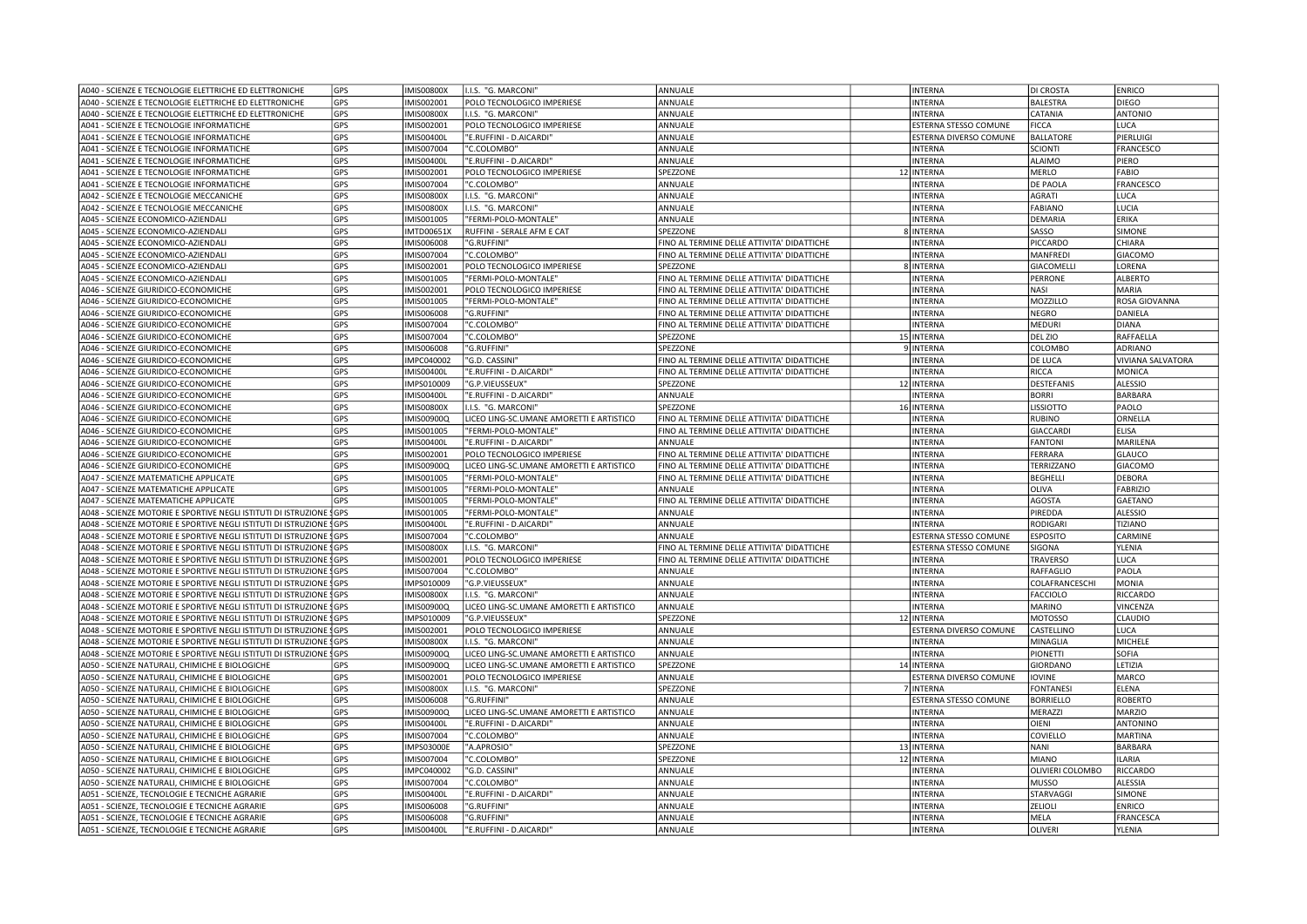| A040 - SCIENZE E TECNOLOGIE ELETTRICHE ED ELETTRONICHE              | GPS        | <b>IMIS00800X</b> | I.I.S. "G. MARCONI'                      | ANNUALE                                    | <b>INTERNA</b>               | <b>DI CROSTA</b>  | <b>ENRICO</b>            |
|---------------------------------------------------------------------|------------|-------------------|------------------------------------------|--------------------------------------------|------------------------------|-------------------|--------------------------|
| A040 - SCIENZE E TECNOLOGIE ELETTRICHE ED ELETTRONICHE              | GPS        | IMIS002001        | POLO TECNOLOGICO IMPERIESE               | ANNUALE                                    | <b>INTERNA</b>               | <b>BALESTRA</b>   | <b>DIEGO</b>             |
| A040 - SCIENZE E TECNOLOGIE ELETTRICHE ED ELETTRONICHE              | GPS        | <b>IMIS00800X</b> | I.I.S. "G. MARCONI"                      | ANNUALE                                    | <b>INTERNA</b>               | CATANIA           | <b>ANTONIO</b>           |
| A041 - SCIENZE E TECNOLOGIE INFORMATICHE                            | GPS        | IMIS002001        | POLO TECNOLOGICO IMPERIESE               | ANNUALE                                    | <b>ESTERNA STESSO COMUNE</b> | <b>FICCA</b>      | LUCA                     |
| A041 - SCIENZE E TECNOLOGIE INFORMATICHE                            | GPS        | IMIS00400L        | "E.RUFFINI - D.AICARDI'                  | ANNUALE                                    | ESTERNA DIVERSO COMUNE       | <b>BALLATORE</b>  | PIERLUIGI                |
| A041 - SCIENZE E TECNOLOGIE INFORMATICHE                            | GPS        | IMIS007004        | "C.COLOMBO"                              | ANNUALE                                    | <b>INTERNA</b>               | <b>SCIONTI</b>    | FRANCESCO                |
| A041 - SCIENZE E TECNOLOGIE INFORMATICHE                            | GPS        | <b>IMIS00400L</b> | "E.RUFFINI - D.AICARDI'                  | ANNUALE                                    | INTERNA                      | <b>ALAIMO</b>     | PIERO                    |
| A041 - SCIENZE E TECNOLOGIE INFORMATICHE                            | GPS        | IMIS002001        | POLO TECNOLOGICO IMPERIESE               | SPEZZONE                                   | 12 INTERNA                   | <b>MERLO</b>      | FABIO                    |
| A041 - SCIENZE E TECNOLOGIE INFORMATICHE                            | GPS        | IMIS007004        | "C.COLOMBO"                              | ANNUALE                                    | <b>INTERNA</b>               | <b>DE PAOLA</b>   | <b>FRANCESCO</b>         |
| A042 - SCIENZE E TECNOLOGIE MECCANICHE                              | GPS        | <b>IMIS00800X</b> | I.I.S. "G. MARCONI'                      | ANNUALE                                    | <b>INTERNA</b>               | <b>AGRATI</b>     | LUCA                     |
| A042 - SCIENZE E TECNOLOGIE MECCANICHE                              | GPS        | IMIS00800X        | I.I.S. "G. MARCONI'                      | ANNUALE                                    | <b>INTERNA</b>               | FABIANO           | LUCIA                    |
| A045 - SCIENZE ECONOMICO-AZIENDALI                                  | GPS        |                   | "FERMI-POLO-MONTALE"                     | ANNUALE                                    | <b>INTERNA</b>               | <b>DEMARIA</b>    | ERIKA                    |
|                                                                     |            | IMIS001005        |                                          |                                            |                              |                   |                          |
| A045 - SCIENZE ECONOMICO-AZIENDALI                                  | GPS        | <b>IMTD00651X</b> | RUFFINI - SERALE AFM E CAT               | SPEZZONE                                   | 8 INTERNA                    | SASSO             | SIMONE                   |
| A045 - SCIENZE ECONOMICO-AZIENDALI                                  | GPS        | IMIS006008        | "G.RUFFINI"                              | FINO AL TERMINE DELLE ATTIVITA' DIDATTICHE | INTERNA                      | PICCARDO          | CHIARA                   |
| A045 - SCIENZE ECONOMICO-AZIENDALI                                  | GPS        | IMIS007004        | "C.COLOMBO"                              | FINO AL TERMINE DELLE ATTIVITA' DIDATTICHE | INTERNA                      | MANFREDI          | <b>GIACOMO</b>           |
| A045 - SCIENZE ECONOMICO-AZIENDALI                                  | <b>GPS</b> | IMIS002001        | POLO TECNOLOGICO IMPERIESE               | <b>SPEZZONE</b>                            | 8 INTERNA                    | <b>GIACOMELLI</b> | LORENA                   |
| A045 - SCIENZE ECONOMICO-AZIENDALI                                  | GPS        | IMIS001005        | "FERMI-POLO-MONTALE"                     | FINO AL TERMINE DELLE ATTIVITA' DIDATTICHE | <b>INTERNA</b>               | PERRONE           | <b>ALBERTO</b>           |
| A046 - SCIENZE GIURIDICO-ECONOMICHE                                 | GPS        | IMIS002001        | POLO TECNOLOGICO IMPERIESE               | FINO AL TERMINE DELLE ATTIVITA' DIDATTICHE | <b>INTERNA</b>               | <b>NASI</b>       | MARIA                    |
| A046 - SCIENZE GIURIDICO-ECONOMICHE                                 | GPS        | IMIS001005        | "FERMI-POLO-MONTALE"                     | FINO AL TERMINE DELLE ATTIVITA' DIDATTICHE | <b>INTERNA</b>               | MOZZILLO          | ROSA GIOVANNA            |
| A046 - SCIENZE GIURIDICO-ECONOMICHE                                 | GPS        | IMIS006008        | "G.RUFFINI"                              | FINO AL TERMINE DELLE ATTIVITA' DIDATTICHE | INTERNA                      | <b>NEGRO</b>      | DANIELA                  |
| A046 - SCIENZE GIURIDICO-ECONOMICHE                                 | GPS        | IMIS007004        | "C.COLOMBO"                              | FINO AL TERMINE DELLE ATTIVITA' DIDATTICHE | <b>INTERNA</b>               | <b>MEDURI</b>     | <b>DIANA</b>             |
| A046 - SCIENZE GIURIDICO-ECONOMICHE                                 | GPS        | IMIS007004        | "C.COLOMBO'                              | SPEZZONE                                   | 15 INTERNA                   | DEL ZIO           | RAFFAELLA                |
| A046 - SCIENZE GIURIDICO-ECONOMICHE                                 | GPS        | IMIS006008        | "G.RUFFINI"                              | SPEZZONE                                   | 9 INTERNA                    | COLOMBO           | <b>ADRIANO</b>           |
| A046 - SCIENZE GIURIDICO-ECONOMICHE                                 | GPS        | IMPC040002        | "G.D. CASSINI"                           | FINO AL TERMINE DELLE ATTIVITA' DIDATTICHE | INTERNA                      | DE LUCA           | <b>VIVIANA SALVATORA</b> |
| A046 - SCIENZE GIURIDICO-ECONOMICHE                                 | GPS        | <b>IMIS00400L</b> | "E.RUFFINI - D.AICARDI                   | FINO AL TERMINE DELLE ATTIVITA' DIDATTICHE | INTERNA                      | <b>RICCA</b>      | <b>MONICA</b>            |
| A046 - SCIENZE GIURIDICO-ECONOMICHE                                 | GPS        | IMPS010009        | "G.P.VIEUSSEUX'                          | SPEZZONE                                   | 12 INTERNA                   | <b>DESTEFANIS</b> | <b>ALESSIO</b>           |
| A046 - SCIENZE GIURIDICO-ECONOMICHE                                 | GPS        | <b>IMIS00400L</b> | "E.RUFFINI - D.AICARDI"                  | ANNUALE                                    | <b>INTERNA</b>               | <b>BORRI</b>      | <b>BARBARA</b>           |
| A046 - SCIENZE GIURIDICO-ECONOMICHE                                 | GPS        | IMIS00800X        | I.I.S. "G. MARCONI'                      | <b>SPEZZONE</b>                            | 16 INTERNA                   | LISSIOTTO         | PAOLO                    |
| A046 - SCIENZE GIURIDICO-ECONOMICHE                                 | GPS        | IMIS00900Q        | LICEO LING-SC.UMANE AMORETTI E ARTISTICO | FINO AL TERMINE DELLE ATTIVITA' DIDATTICHE | <b>INTERNA</b>               | <b>RUBINO</b>     | ORNELLA                  |
| A046 - SCIENZE GIURIDICO-ECONOMICHE                                 | GPS        | IMIS001005        | "FERMI-POLO-MONTALE"                     | FINO AL TERMINE DELLE ATTIVITA' DIDATTICHE | INTERNA                      | <b>GIACCARD</b>   | ELISA                    |
| A046 - SCIENZE GIURIDICO-ECONOMICHE                                 | GPS        | <b>IMIS00400L</b> | "E.RUFFINI - D.AICARDI'                  | ANNUALE                                    | INTERNA                      | <b>FANTONI</b>    | MARILENA                 |
| A046 - SCIENZE GIURIDICO-ECONOMICHE                                 | GPS        | IMIS002001        | POLO TECNOLOGICO IMPERIESE               | FINO AL TERMINE DELLE ATTIVITA' DIDATTICHE | <b>INTERNA</b>               | FERRARA           | GLAUCO                   |
|                                                                     |            |                   |                                          |                                            |                              |                   |                          |
| A046 - SCIENZE GIURIDICO-ECONOMICHE                                 | GPS        | IMIS00900Q        | LICEO LING-SC.UMANE AMORETTI E ARTISTICO | FINO AL TERMINE DELLE ATTIVITA' DIDATTICHE | <b>INTERNA</b>               | TERRIZZANO        | <b>GIACOMO</b>           |
| A047 - SCIENZE MATEMATICHE APPLICATE                                | GPS        | IMIS001005        | "FERMI-POLO-MONTALE"                     | FINO AL TERMINE DELLE ATTIVITA' DIDATTICHE | INTERNA                      | <b>BEGHELLI</b>   | <b>DEBORA</b>            |
| A047 - SCIENZE MATEMATICHE APPLICATE                                | GPS        | IMIS001005        | "FERMI-POLO-MONTALE"                     | ANNUALE                                    | <b>INTERNA</b>               | OLIVA             | <b>FABRIZIO</b>          |
| A047 - SCIENZE MATEMATICHE APPLICATE                                | GPS        | IMIS001005        | "FERMI-POLO-MONTALE"                     | FINO AL TERMINE DELLE ATTIVITA' DIDATTICHE | <b>INTERNA</b>               | <b>AGOSTA</b>     | GAETANO                  |
| A048 - SCIENZE MOTORIE E SPORTIVE NEGLI ISTITUTI DI ISTRUZIONE SGPS |            | IMIS001005        | 'FERMI-POLO-MONTALE'                     | ANNUALE                                    | INTERNA                      | PIREDDA           | <b>ALESSIO</b>           |
| A048 - SCIENZE MOTORIE E SPORTIVE NEGLI ISTITUTI DI ISTRUZIONE SGPS |            | <b>IMIS00400L</b> | "E.RUFFINI - D.AICARDI'                  | ANNUALE                                    | <b>INTERNA</b>               | RODIGARI          | TIZIANO                  |
| A048 - SCIENZE MOTORIE E SPORTIVE NEGLI ISTITUTI DI ISTRUZIONE SGPS |            | IMIS007004        | "C.COLOMBO"                              | ANNUALE                                    | ESTERNA STESSO COMUNE        | <b>ESPOSITO</b>   | CARMINE                  |
| A048 - SCIENZE MOTORIE E SPORTIVE NEGLI ISTITUTI DI ISTRUZIONE SGPS |            | IMIS00800X        | I.I.S. "G. MARCONI'                      | FINO AL TERMINE DELLE ATTIVITA' DIDATTICHE | <b>ESTERNA STESSO COMUNE</b> | SIGONA            | YLENIA                   |
| A048 - SCIENZE MOTORIE E SPORTIVE NEGLI ISTITUTI DI ISTRUZIONE SGPS |            | IMIS002001        | POLO TECNOLOGICO IMPERIESE               | FINO AL TERMINE DELLE ATTIVITA' DIDATTICHE | <b>INTERNA</b>               | <b>TRAVERSO</b>   | LUCA                     |
| A048 - SCIENZE MOTORIE E SPORTIVE NEGLI ISTITUTI DI ISTRUZIONE SGPS |            | IMIS007004        | "C.COLOMBO"                              | ANNUALE                                    | <b>INTERNA</b>               | <b>RAFFAGLIO</b>  | PAOLA                    |
| A048 - SCIENZE MOTORIE E SPORTIVE NEGLI ISTITUTI DI ISTRUZIONE SGPS |            | IMPS010009        | "G.P.VIEUSSEUX'                          | ANNUALE                                    | <b>INTERNA</b>               | COLAFRANCESCHI    | <b>MONIA</b>             |
| A048 - SCIENZE MOTORIE E SPORTIVE NEGLI ISTITUTI DI ISTRUZIONE SGPS |            | <b>IMIS00800X</b> | I.I.S. "G. MARCONI'                      | ANNUALE                                    | <b>INTERNA</b>               | <b>FACCIOLO</b>   | <b>RICCARDO</b>          |
| A048 - SCIENZE MOTORIE E SPORTIVE NEGLI ISTITUTI DI ISTRUZIONE SGPS |            | IMIS00900Q        | LICEO LING-SC.UMANE AMORETTI E ARTISTICO | ANNUALE                                    | <b>INTERNA</b>               | <b>MARINO</b>     | VINCENZA                 |
| A048 - SCIENZE MOTORIE E SPORTIVE NEGLI ISTITUTI DI ISTRUZIONE SGPS |            | IMPS010009        | "G.P.VIEUSSEUX"                          | SPEZZONE                                   | 12 INTERNA                   | <b>MOTOSSO</b>    | <b>CLAUDIO</b>           |
| A048 - SCIENZE MOTORIE E SPORTIVE NEGLI ISTITUTI DI ISTRUZIONE SGPS |            | IMIS002001        | POLO TECNOLOGICO IMPERIESE               | ANNUALE                                    | ESTERNA DIVERSO COMUNE       | CASTELLINO        | LUCA                     |
| A048 - SCIENZE MOTORIE E SPORTIVE NEGLI ISTITUTI DI ISTRUZIONE SGPS |            | <b>IMIS00800X</b> | I.I.S. "G. MARCONI"                      | ANNUALE                                    | <b>INTERNA</b>               | MINAGLIA          | MICHELI                  |
| A048 - SCIENZE MOTORIE E SPORTIVE NEGLI ISTITUTI DI ISTRUZIONE SGPS |            | IMIS00900Q        | LICEO LING-SC.UMANE AMORETTI E ARTISTICO | ANNUALE                                    | INTERNA                      | PIONETTI          | <b>SOFIA</b>             |
| A050 - SCIENZE NATURALI, CHIMICHE E BIOLOGICHE                      | GPS        | IMIS00900Q        | LICEO LING-SC.UMANE AMORETTI E ARTISTICO | SPEZZONE                                   | 14 INTERNA                   | <b>GIORDANO</b>   | LETIZIA                  |
| A050 - SCIENZE NATURALI, CHIMICHE E BIOLOGICHE                      | GPS        | IMIS002001        | POLO TECNOLOGICO IMPERIESE               | ANNUALE                                    | ESTERNA DIVERSO COMUNE       | <b>IOVINE</b>     | MARCO                    |
| A050 - SCIENZE NATURALI, CHIMICHE E BIOLOGICHE                      | GPS        | <b>IMIS00800X</b> | I.I.S. "G. MARCONI'                      | SPEZZONE                                   | 7 INTERNA                    | <b>FONTANESI</b>  | ELENA                    |
| A050 - SCIENZE NATURALI, CHIMICHE E BIOLOGICHE                      | GPS        | IMIS006008        | "G.RUFFINI"                              | ANNUALE                                    | ESTERNA STESSO COMUNE        | <b>BORRIELLO</b>  | <b>ROBERTO</b>           |
| A050 - SCIENZE NATURALI, CHIMICHE E BIOLOGICHE                      | GPS        | IMIS00900Q        | LICEO LING-SC.UMANE AMORETTI E ARTISTICO | ANNUALE                                    | <b>INTERNA</b>               | MERAZZI           | <b>MARZIO</b>            |
| A050 - SCIENZE NATURALI, CHIMICHE E BIOLOGICHE                      |            |                   |                                          |                                            |                              |                   |                          |
|                                                                     | GPS        | <b>IMIS00400L</b> | "E.RUFFINI - D.AICARDI'                  | ANNUALE                                    | <b>INTERNA</b>               | OIENI             | <b>ANTONINO</b>          |
| A050 - SCIENZE NATURALI, CHIMICHE E BIOLOGICHE                      | GPS        | IMIS007004        | "C.COLOMBO'                              | ANNUALE                                    | <b>INTERNA</b>               | COVIELLO          | <b>MARTINA</b>           |
| A050 - SCIENZE NATURALI, CHIMICHE E BIOLOGICHE                      | GPS        | <b>IMPS03000E</b> | "A.APROSIO"                              | SPEZZONE                                   | 13 INTERNA                   | <b>NANI</b>       | <b>BARBARA</b>           |
| A050 - SCIENZE NATURALI, CHIMICHE E BIOLOGICHE                      | GPS        | IMIS007004        | "C.COLOMBO                               | SPEZZONE                                   | 12 INTERNA                   | MIANO             | <b>ILARIA</b>            |
| A050 - SCIENZE NATURALI, CHIMICHE E BIOLOGICHE                      | GPS        | IMPC040002        | "G.D. CASSINI"                           | ANNUALE                                    | <b>INTERNA</b>               | OLIVIERI COLOMBO  | RICCARDO                 |
| A050 - SCIENZE NATURALI, CHIMICHE E BIOLOGICHE                      | GPS        | IMIS007004        | "C.COLOMBO"                              | ANNUALE                                    | INTERNA                      | MUSSO             | <b>ALESSIA</b>           |
| A051 - SCIENZE, TECNOLOGIE E TECNICHE AGRARIE                       | GPS        | IMIS00400L        | "E.RUFFINI - D.AICARDI'                  | ANNUALE                                    | INTERNA                      | STARVAGGI         | SIMONE                   |
| A051 - SCIENZE, TECNOLOGIE E TECNICHE AGRARIE                       | GPS        | IMIS006008        | "G.RUFFINI"                              | ANNUALE                                    | <b>INTERNA</b>               | ZELIOLI           | <b>ENRICO</b>            |
| A051 - SCIENZE, TECNOLOGIE E TECNICHE AGRARIE                       | GPS        | IMIS006008        | "G.RUFFINI"                              | ANNUALE                                    | <b>INTERNA</b>               | MELA              | FRANCESCA                |
| A051 - SCIENZE, TECNOLOGIE E TECNICHE AGRARIE                       | GPS        | <b>IMIS00400L</b> | "E.RUFFINI - D.AICARDI'                  | ANNUALE                                    | <b>INTERNA</b>               | <b>OLIVER</b>     | YLENIA                   |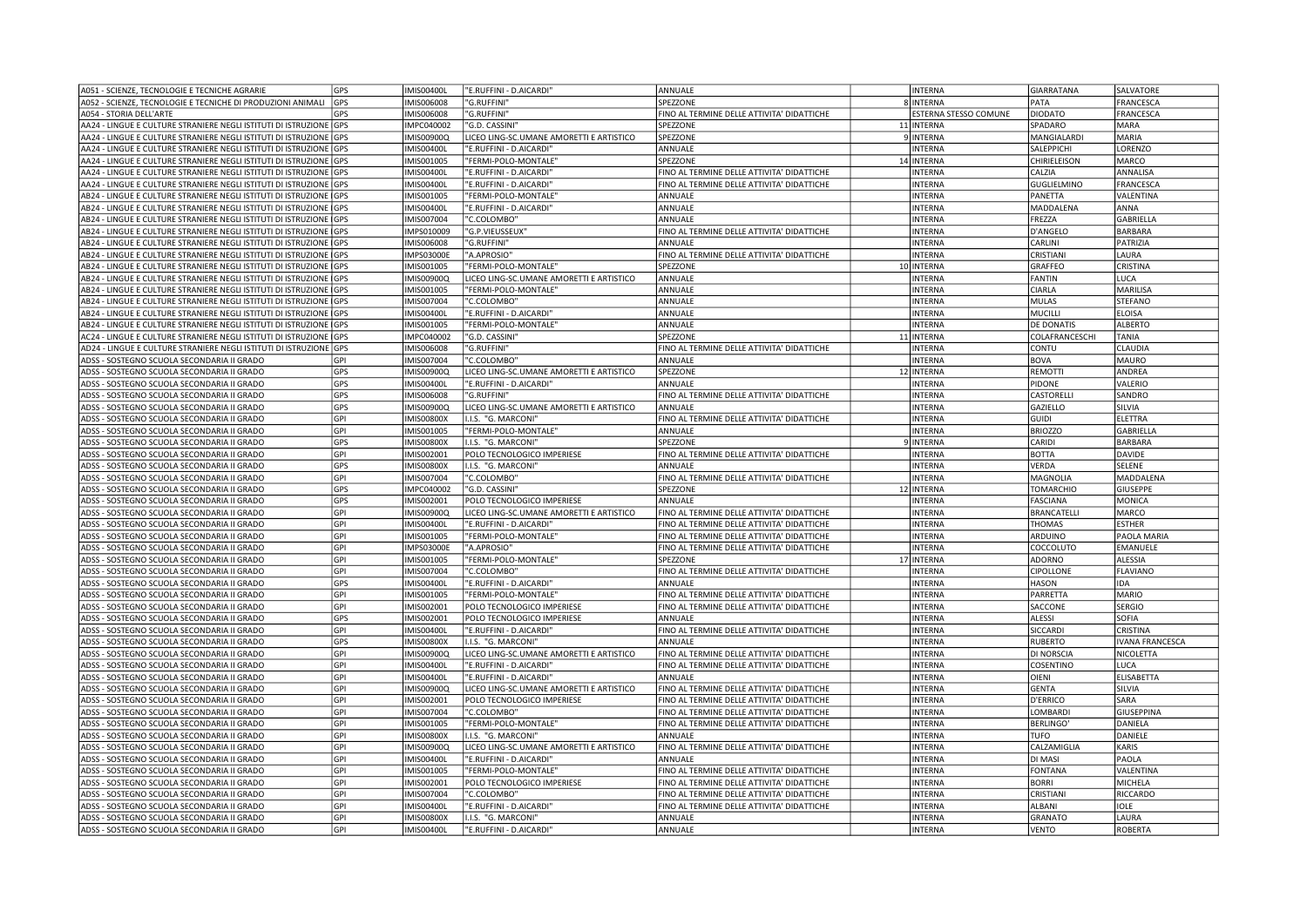| A051 - SCIENZE, TECNOLOGIE E TECNICHE AGRARIE                       | GPS        | IMIS00400I        | "E.RUFFINI - D.AICARDI"                  | ANNUALE                                    | <b>INTERNA</b>        | GIARRATANA        | SALVATORE              |
|---------------------------------------------------------------------|------------|-------------------|------------------------------------------|--------------------------------------------|-----------------------|-------------------|------------------------|
| A052 - SCIENZE, TECNOLOGIE E TECNICHE DI PRODUZIONI ANIMALI GPS     |            | IMIS006008        | "G.RUFFINI'                              | SPEZZONE                                   | 8 INTERNA             | PATA              | FRANCESCA              |
| A054 - STORIA DELL'ARTE                                             | GPS        | IMIS006008        | "G.RUFFINI'                              | FINO AL TERMINE DELLE ATTIVITA' DIDATTICHE | ESTERNA STESSO COMUNE | DIODATO           | FRANCESCA              |
| AA24 - LINGUE E CULTURE STRANIERE NEGLI ISTITUTI DI ISTRUZIONE GPS  |            | IMPC040002        | "G.D. CASSINI'                           | SPEZZONE                                   | 11 INTERNA            | SPADARO           | <b>MARA</b>            |
| AA24 - LINGUE E CULTURE STRANIERE NEGLI ISTITUTI DI ISTRUZIONE GPS  |            | IMIS00900Q        | LICEO LING-SC.UMANE AMORETTI E ARTISTICO | SPEZZONE                                   | 9 INTERNA             | MANGIALARDI       | MARIA                  |
| AA24 - LINGUE E CULTURE STRANIERE NEGLI ISTITUTI DI ISTRUZIONE GPS  |            | <b>IMIS00400I</b> | "E.RUFFINI - D.AICARDI'                  | ANNUALE                                    | <b>INTERNA</b>        | SALEPPICHI        | LORENZO                |
| AA24 - LINGUE E CULTURE STRANIERE NEGLI ISTITUTI DI ISTRUZIONE GPS  |            | IMIS001005        | 'FERMI-POLO-MONTALE"                     | SPEZZONE                                   | 14 INTERNA            | CHIRIELEISON      | MARCO                  |
| AA24 - LINGUE E CULTURE STRANIERE NEGLI ISTITUTI DI ISTRUZIONE GPS  |            | IMIS00400I        | "E.RUFFINI - D.AICARDI                   | FINO AL TERMINE DELLE ATTIVITA' DIDATTICHE | <b>INTERNA</b>        | CALZIA            | ANNALISA               |
| AA24 - LINGUE E CULTURE STRANIERE NEGLI ISTITUTI DI ISTRUZIONE GPS  |            | <b>IMIS00400I</b> | "E.RUFFINI - D.AICARDI'                  | FINO AL TERMINE DELLE ATTIVITA' DIDATTICHE | <b>INTERNA</b>        | GUGLIELMINO       | FRANCESCA              |
| AB24 - LINGUE E CULTURE STRANIERE NEGLI ISTITUTI DI ISTRUZIONE GPS  |            | IMIS001005        | 'FERMI-POLO-MONTALE'                     | ANNUALE                                    | <b>INTERNA</b>        | PANETTA           | VALENTINA              |
| AB24 - LINGUE E CULTURE STRANIERE NEGLI ISTITUTI DI ISTRUZIONE IGPS |            | IMIS00400I        | "E.RUFFINI - D.AICARDI'                  | ANNUALE                                    | <b>INTERNA</b>        | MADDALENA         | ANNA                   |
| AB24 - LINGUE E CULTURE STRANIERE NEGLI ISTITUTI DI ISTRUZIONE GPS  |            | IMIS007004        | "C.COLOMBO"                              | ANNUALE                                    | <b>INTERNA</b>        | FREZZA            | GABRIELLA              |
| AB24 - LINGUE E CULTURE STRANIERE NEGLI ISTITUTI DI ISTRUZIONE GPS  |            | IMPS010009        | "G.P.VIEUSSEUX"                          | FINO AL TERMINE DELLE ATTIVITA' DIDATTICHE | <b>INTERNA</b>        | D'ANGELO          | <b>BARBARA</b>         |
| AB24 - LINGUE E CULTURE STRANIERE NEGLI ISTITUTI DI ISTRUZIONE GPS  |            | IMIS006008        | "G.RUFFINI'                              | ANNUALE                                    | <b>INTERNA</b>        | CARLINI           | PATRIZIA               |
| AB24 - LINGUE E CULTURE STRANIERE NEGLI ISTITUTI DI ISTRUZIONE GPS  |            | <b>IMPS03000E</b> | "A.APROSIO"                              | FINO AL TERMINE DELLE ATTIVITA' DIDATTICHE | <b>INTERNA</b>        | CRISTIANI         | LAURA                  |
| AB24 - LINGUE E CULTURE STRANIERE NEGLI ISTITUTI DI ISTRUZIONE GPS  |            | IMIS001005        | 'FERMI-POLO-MONTALE"                     | SPEZZONE                                   | 10 INTERNA            | GRAFFEO           | <b>CRISTINA</b>        |
| AB24 - LINGUE E CULTURE STRANIERE NEGLI ISTITUTI DI ISTRUZIONE IGPS |            | IMIS00900Q        | LICEO LING-SC.UMANE AMORETTI E ARTISTICO | ANNUALE                                    | <b>INTERNA</b>        | FANTIN            | LUCA                   |
| AB24 - LINGUE E CULTURE STRANIERE NEGLI ISTITUTI DI ISTRUZIONE GPS  |            | IMIS001005        | "FERMI-POLO-MONTALE"                     | ANNUALE                                    | <b>INTERNA</b>        | CIARLA            | MARILISA               |
| AB24 - LINGUE E CULTURE STRANIERE NEGLI ISTITUTI DI ISTRUZIONE GPS  |            | IMIS007004        | "C.COLOMBO'                              | ANNUALE                                    | <b>INTERNA</b>        | MULAS             | <b>STEFANO</b>         |
| AB24 - LINGUE E CULTURE STRANIERE NEGLI ISTITUTI DI ISTRUZIONE IGPS |            | <b>IMIS00400L</b> | "E.RUFFINI - D.AICARDI"                  | ANNUALE                                    | <b>INTERNA</b>        | MUCILLI           | <b>ELOISA</b>          |
| AB24 - LINGUE E CULTURE STRANIERE NEGLI ISTITUTI DI ISTRUZIONE      | <b>GPS</b> | IMIS001005        | "FERMI-POLO-MONTALE"                     | ANNUALE                                    | <b>INTERNA</b>        | <b>DE DONATIS</b> | <b>ALBERTO</b>         |
| AC24 - LINGUE E CULTURE STRANIERE NEGLI ISTITUTI DI ISTRUZIONE GPS  |            | IMPC040002        | "G.D. CASSINI"                           | SPEZZONE                                   | 11 INTERNA            | COLAFRANCESCHI    | <b>TANIA</b>           |
|                                                                     |            |                   |                                          |                                            |                       |                   |                        |
| AD24 - LINGUE E CULTURE STRANIERE NEGLI ISTITUTI DI ISTRUZIONE GPS  |            | IMIS006008        | "G.RUFFINI"                              | FINO AL TERMINE DELLE ATTIVITA' DIDATTICHE | <b>INTERNA</b>        | CONTU             | <b>CLAUDIA</b>         |
| ADSS - SOSTEGNO SCUOLA SECONDARIA II GRADO                          | GPI        | IMIS007004        | "C.COLOMBO"                              | ANNUALE                                    | <b>INTERNA</b>        | <b>BOVA</b>       | <b>MAURO</b>           |
| ADSS - SOSTEGNO SCUOLA SECONDARIA II GRADO                          | GPS        | IMIS00900Q        | LICEO LING-SC.UMANE AMORETTI E ARTISTICO | SPEZZONE                                   | 12 INTERNA            | REMOTTI           | ANDREA                 |
| ADSS - SOSTEGNO SCUOLA SECONDARIA II GRADO                          | GPS        | <b>IMIS00400L</b> | "E.RUFFINI - D.AICARDI"                  | ANNUALE                                    | <b>INTERNA</b>        | PIDONE            | VALERIO                |
| ADSS - SOSTEGNO SCUOLA SECONDARIA II GRADO                          | GPS        | IMIS006008        | "G.RUFFINI'                              | FINO AL TERMINE DELLE ATTIVITA' DIDATTICHE | <b>INTERNA</b>        | CASTORELLI        | SANDRO                 |
| ADSS - SOSTEGNO SCUOLA SECONDARIA II GRADO                          | GPS        | IMIS00900Q        | LICEO LING-SC.UMANE AMORETTI E ARTISTICO | ANNUALE                                    | <b>INTERNA</b>        | GAZIELLO          | SILVIA                 |
| ADSS - SOSTEGNO SCUOLA SECONDARIA II GRADO                          | GPI        | <b>IMIS00800X</b> | I.I.S. "G. MARCONI'                      | FINO AL TERMINE DELLE ATTIVITA' DIDATTICHE | <b>INTERNA</b>        | GUIDI             | ELETTRA                |
| ADSS - SOSTEGNO SCUOLA SECONDARIA II GRADO                          | GPI        | IMIS001005        | "FERMI-POLO-MONTALE"                     | ANNUALE                                    | <b>INTERNA</b>        | <b>BRIOZZO</b>    | <b>GABRIELLA</b>       |
| ADSS - SOSTEGNO SCUOLA SECONDARIA II GRADO                          | GPS        | <b>IMIS00800X</b> | I.I.S. "G. MARCONI'                      | SPEZZONE                                   | 9 INTERNA             | CARIDI            | <b>BARBARA</b>         |
| ADSS - SOSTEGNO SCUOLA SECONDARIA II GRADO                          | GPI        | IMIS002001        | POLO TECNOLOGICO IMPERIESE               | FINO AL TERMINE DELLE ATTIVITA' DIDATTICHE | <b>INTERNA</b>        | <b>BOTTA</b>      | DAVIDE                 |
| ADSS - SOSTEGNO SCUOLA SECONDARIA II GRADO                          | GPS        | <b>IMIS00800X</b> | I.I.S. "G. MARCONI'                      | ANNUALE                                    | <b>INTERNA</b>        | VERDA             | SELENE                 |
| ADSS - SOSTEGNO SCUOLA SECONDARIA II GRADO                          | GPI        | IMIS007004        | "C.COLOMBO'                              | FINO AL TERMINE DELLE ATTIVITA' DIDATTICHE | <b>INTERNA</b>        | MAGNOLIA          | MADDALENA              |
| ADSS - SOSTEGNO SCUOLA SECONDARIA II GRADO                          | GPS        | IMPC040002        | "G.D. CASSINI'                           | SPEZZONE                                   | 12 INTERNA            | TOMARCHIO         | <b>GIUSEPPE</b>        |
| ADSS - SOSTEGNO SCUOLA SECONDARIA II GRADO                          | GPS        | IMIS002001        | POLO TECNOLOGICO IMPERIESE               | ANNUALE                                    | <b>INTERNA</b>        | FASCIANA          | <b>MONICA</b>          |
| ADSS - SOSTEGNO SCUOLA SECONDARIA II GRADO                          | GPI        | IMIS00900Q        | LICEO LING-SC.UMANE AMORETTI E ARTISTICO | FINO AL TERMINE DELLE ATTIVITA' DIDATTICHE | INTERNA               | BRANCATELLI       | MARCO                  |
| ADSS - SOSTEGNO SCUOLA SECONDARIA II GRADO                          | GPI        | <b>IMIS00400L</b> | "E.RUFFINI - D.AICARDI"                  | FINO AL TERMINE DELLE ATTIVITA' DIDATTICHE | <b>INTERNA</b>        | THOMAS            | <b>ESTHER</b>          |
| ADSS - SOSTEGNO SCUOLA SECONDARIA II GRADO                          | GPI        | IMIS001005        | "FERMI-POLO-MONTALE"                     | FINO AL TERMINE DELLE ATTIVITA' DIDATTICHE | <b>INTERNA</b>        | ARDUINO           | PAOLA MARIA            |
| ADSS - SOSTEGNO SCUOLA SECONDARIA II GRADO                          | GPI        | IMPS03000E        | 'A.APROSIO"                              | FINO AL TERMINE DELLE ATTIVITA' DIDATTICHE | <b>INTERNA</b>        | COCCOLUTO         | EMANUELE               |
| ADSS - SOSTEGNO SCUOLA SECONDARIA II GRADO                          | GPI        | IMIS001005        | "FERMI-POLO-MONTALE"                     | SPEZZONE                                   | 17 INTERNA            | ADORNO            | <b>ALESSIA</b>         |
| ADSS - SOSTEGNO SCUOLA SECONDARIA II GRADO                          | GPI        | IMIS007004        | "C.COLOMBO"                              | FINO AL TERMINE DELLE ATTIVITA' DIDATTICHE | <b>INTERNA</b>        | <b>CIPOLLONE</b>  | <b>FLAVIANO</b>        |
| ADSS - SOSTEGNO SCUOLA SECONDARIA II GRADO                          | GPS        | IMIS00400I        | "E.RUFFINI - D.AICARDI"                  | ANNUALE                                    | <b>INTERNA</b>        | HASON             | IDA                    |
| ADSS - SOSTEGNO SCUOLA SECONDARIA II GRADO                          | GPI        | IMIS001005        | "FERMI-POLO-MONTALE"                     | FINO AL TERMINE DELLE ATTIVITA' DIDATTICHE | <b>INTERNA</b>        | PARRETTA          | MARIO                  |
| ADSS - SOSTEGNO SCUOLA SECONDARIA II GRADO                          | GPI        | IMIS002001        | POLO TECNOLOGICO IMPERIESE               | FINO AL TERMINE DELLE ATTIVITA' DIDATTICHE | <b>INTERNA</b>        | SACCONE           | <b>SERGIO</b>          |
| ADSS - SOSTEGNO SCUOLA SECONDARIA II GRADO                          | GPS        | IMIS002001        | POLO TECNOLOGICO IMPERIESE               | ANNUALE                                    | <b>INTERNA</b>        | ALESSI            | <b>SOFIA</b>           |
| ADSS - SOSTEGNO SCUOLA SECONDARIA II GRADO                          | GPI        | IMIS00400I        | "E.RUFFINI - D.AICARDI                   | FINO AL TERMINE DELLE ATTIVITA' DIDATTICHE | <b>INTERNA</b>        | SICCARDI          | <b>CRISTINA</b>        |
| ADSS - SOSTEGNO SCUOLA SECONDARIA II GRADO                          | GPS        | <b>IMIS00800X</b> | I.I.S. "G. MARCONI"                      | ANNUALE                                    | <b>INTERNA</b>        | RUBERTO           | <b>IVANA FRANCESCA</b> |
| ADSS - SOSTEGNO SCUOLA SECONDARIA II GRADO                          | GPI        | IMIS00900Q        | LICEO LING-SC.UMANE AMORETTI E ARTISTICO | FINO AL TERMINE DELLE ATTIVITA' DIDATTICHE | <b>INTERNA</b>        | DI NORSCIA        | NICOLETTA              |
| ADSS - SOSTEGNO SCUOLA SECONDARIA II GRADO                          | GPI        | <b>IMIS00400I</b> | "E.RUFFINI - D.AICARDI                   | FINO AL TERMINE DELLE ATTIVITA' DIDATTICHE | <b>INTERNA</b>        | COSENTINO         | LUCA                   |
| ADSS - SOSTEGNO SCUOLA SECONDARIA II GRADO                          | GPI        | <b>IMIS00400L</b> | "E.RUFFINI - D.AICARDI                   | ANNUALE                                    | <b>INTERNA</b>        | OIENI             | <b>ELISABETTA</b>      |
| ADSS - SOSTEGNO SCUOLA SECONDARIA II GRADO                          | GPI        | IMIS00900Q        | LICEO LING-SC.UMANE AMORETTI E ARTISTICO | FINO AL TERMINE DELLE ATTIVITA' DIDATTICHE | <b>INTERNA</b>        | <b>GENTA</b>      | SILVIA                 |
| ADSS - SOSTEGNO SCUOLA SECONDARIA II GRADO                          | GPI        | IMIS002001        | POLO TECNOLOGICO IMPERIESE               | FINO AL TERMINE DELLE ATTIVITA' DIDATTICHE | <b>INTERNA</b>        | D'ERRICO          | SARA                   |
| ADSS - SOSTEGNO SCUOLA SECONDARIA II GRADO                          | GPI        | IMIS007004        | "C.COLOMBO'                              | FINO AL TERMINE DELLE ATTIVITA' DIDATTICHE | <b>INTERNA</b>        | LOMBARDI          | <b>GIUSEPPINA</b>      |
| ADSS - SOSTEGNO SCUOLA SECONDARIA II GRADO                          | GPI        | IMIS001005        | "FERMI-POLO-MONTALE"                     | FINO AL TERMINE DELLE ATTIVITA' DIDATTICHE | <b>INTERNA</b>        | <b>BERLINGO</b>   | DANIELA                |
| ADSS - SOSTEGNO SCUOLA SECONDARIA II GRADO                          | GPI        | <b>IMIS00800X</b> | I.I.S. "G. MARCONI"                      | ANNUALE                                    | <b>INTERNA</b>        | <b>TUFO</b>       | DANIELE                |
| ADSS - SOSTEGNO SCUOLA SECONDARIA II GRADO                          | GPI        | IMIS00900Q        | LICEO LING-SC.UMANE AMORETTI E ARTISTICO | FINO AL TERMINE DELLE ATTIVITA' DIDATTICHE | <b>INTERNA</b>        | CALZAMIGLIA       | KARIS                  |
| ADSS - SOSTEGNO SCUOLA SECONDARIA II GRADO                          | GPI        | IMIS00400I        | "E.RUFFINI - D.AICARDI"                  | ANNUALE                                    | <b>INTERNA</b>        | DI MASI           | PAOLA                  |
| ADSS - SOSTEGNO SCUOLA SECONDARIA II GRADO                          | GPI        | IMIS001005        | "FERMI-POLO-MONTALE'                     | FINO AL TERMINE DELLE ATTIVITA' DIDATTICHE | <b>INTERNA</b>        | FONTANA           | VALENTINA              |
| ADSS - SOSTEGNO SCUOLA SECONDARIA II GRADO                          | GPI        | IMIS002001        | POLO TECNOLOGICO IMPERIESE               | FINO AL TERMINE DELLE ATTIVITA' DIDATTICHE | <b>INTERNA</b>        | <b>BORRI</b>      | <b>MICHELA</b>         |
| ADSS - SOSTEGNO SCUOLA SECONDARIA II GRADO                          | <b>GPI</b> | IMIS007004        | "C.COLOMBO'                              | FINO AL TERMINE DELLE ATTIVITA' DIDATTICHE | INTERNA               | CRISTIANI         | <b>RICCARDO</b>        |
| ADSS - SOSTEGNO SCUOLA SECONDARIA II GRADO                          | GPI        | IMIS00400I        | "E.RUFFINI - D.AICARDI'                  | FINO AL TERMINE DELLE ATTIVITA' DIDATTICHE | <b>INTERNA</b>        | ALBANI            | <b>IOLE</b>            |
| ADSS - SOSTEGNO SCUOLA SECONDARIA II GRADO                          | GPI        | <b>IMIS00800X</b> | I.I.S. "G. MARCONI'                      | ANNUALE                                    | <b>INTERNA</b>        | <b>GRANATO</b>    | LAURA                  |
| ADSS - SOSTEGNO SCUOLA SECONDARIA II GRADO                          | GPI        | IMIS00400L        | "E.RUFFINI - D.AICARDI'                  | ANNUALE                                    | <b>INTERNA</b>        | VENTO             | ROBERTA                |
|                                                                     |            |                   |                                          |                                            |                       |                   |                        |